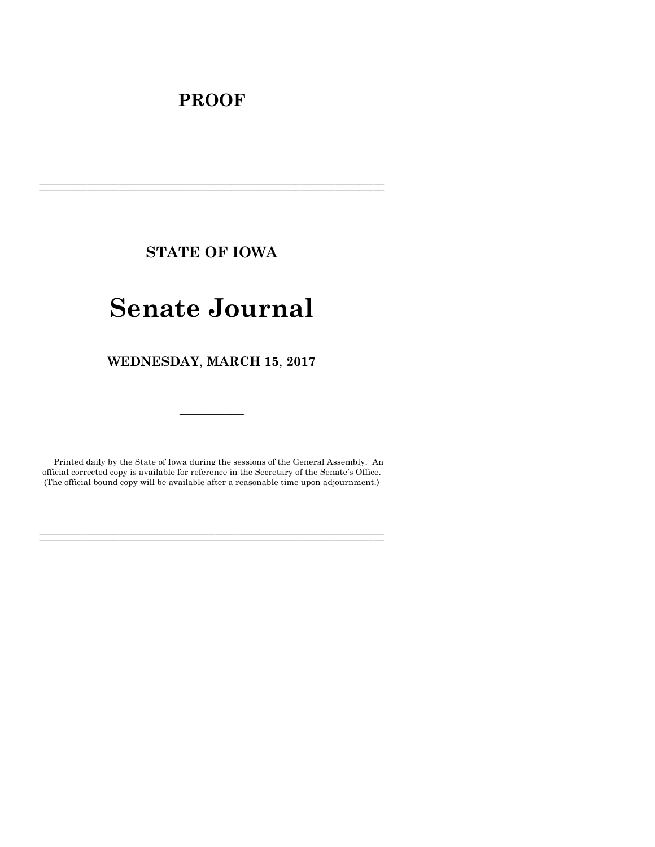## **PROOF**

**STATE OF IOWA**

**\_\_\_\_\_\_\_\_\_\_\_\_\_\_\_\_\_\_\_\_\_\_\_\_\_\_\_\_\_\_\_\_\_\_\_\_\_\_\_\_\_\_\_\_\_\_\_\_\_\_\_\_\_\_\_\_\_\_\_\_\_\_\_\_\_\_\_\_\_\_\_\_\_\_\_\_\_\_\_\_\_\_\_\_\_\_\_\_\_\_\_\_\_\_\_\_\_\_\_\_\_\_\_\_\_\_\_\_\_\_\_\_\_\_\_\_\_\_\_\_\_\_\_\_\_\_\_\_\_ \_\_\_\_\_\_\_\_\_\_\_\_\_\_\_\_\_\_\_\_\_\_\_\_\_\_\_\_\_\_\_\_\_\_\_\_\_\_\_\_\_\_\_\_\_\_\_\_\_\_\_\_\_\_\_\_\_\_\_\_\_\_\_\_\_\_\_\_\_\_\_\_\_\_\_\_\_\_\_\_\_\_\_\_\_\_\_\_\_\_\_\_\_\_\_\_\_\_\_\_\_\_\_\_\_\_\_\_\_\_\_\_\_\_\_\_\_\_\_\_\_\_\_\_\_\_\_\_\_**

# **Senate Journal**

**WEDNESDAY**, **MARCH 15**, **2017**

Printed daily by the State of Iowa during the sessions of the General Assembly. An official corrected copy is available for reference in the Secretary of the Senate's Office. (The official bound copy will be available after a reasonable time upon adjournment.)

**\_\_\_\_\_\_\_\_\_\_\_\_\_\_\_\_\_\_\_\_\_\_\_\_\_\_\_\_\_\_\_\_\_\_\_\_\_\_\_\_\_\_\_\_\_\_\_\_\_\_\_\_\_\_\_\_\_\_\_\_\_\_\_\_\_\_\_\_\_\_\_\_\_\_\_\_\_\_\_\_\_\_\_\_\_\_\_\_\_\_\_\_\_\_\_\_\_\_\_\_\_\_\_\_\_\_\_\_\_\_\_\_\_\_\_\_\_\_\_\_\_\_\_\_\_\_\_\_\_ \_\_\_\_\_\_\_\_\_\_\_\_\_\_\_\_\_\_\_\_\_\_\_\_\_\_\_\_\_\_\_\_\_\_\_\_\_\_\_\_\_\_\_\_\_\_\_\_\_\_\_\_\_\_\_\_\_\_\_\_\_\_\_\_\_\_\_\_\_\_\_\_\_\_\_\_\_\_\_\_\_\_\_\_\_\_\_\_\_\_\_\_\_\_\_\_\_\_\_\_\_\_\_\_\_\_\_\_\_\_\_\_\_\_\_\_\_\_\_\_\_\_\_\_\_\_\_\_\_**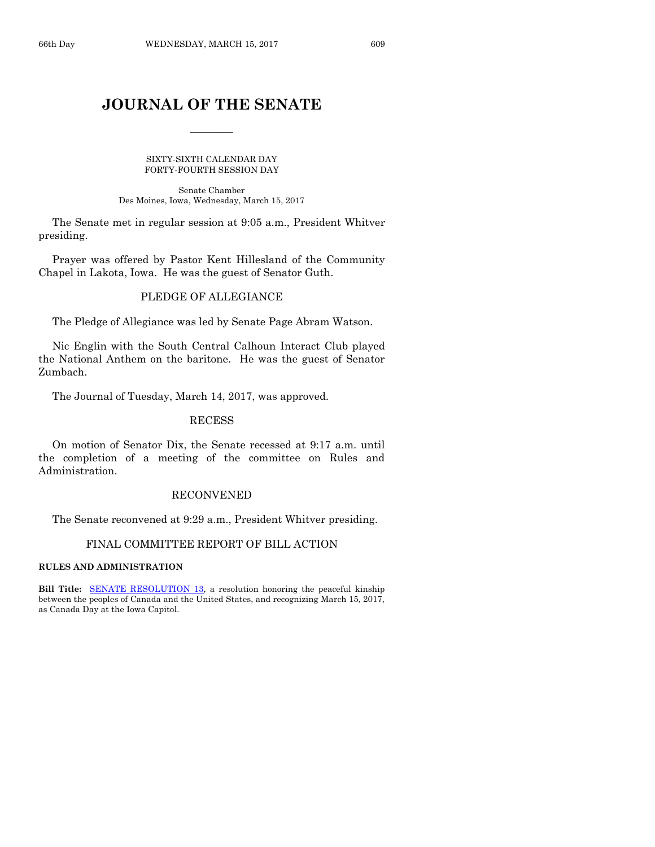## **JOURNAL OF THE SENATE**

 $\frac{1}{2}$ 

SIXTY-SIXTH CALENDAR DAY FORTY-FOURTH SESSION DAY

Senate Chamber Des Moines, Iowa, Wednesday, March 15, 2017

The Senate met in regular session at 9:05 a.m., President Whitver presiding.

Prayer was offered by Pastor Kent Hillesland of the Community Chapel in Lakota, Iowa. He was the guest of Senator Guth.

### PLEDGE OF ALLEGIANCE

The Pledge of Allegiance was led by Senate Page Abram Watson.

Nic Englin with the South Central Calhoun Interact Club played the National Anthem on the baritone. He was the guest of Senator Zumbach.

The Journal of Tuesday, March 14, 2017, was approved.

#### RECESS

On motion of Senator Dix, the Senate recessed at 9:17 a.m. until the completion of a meeting of the committee on Rules and Administration.

## RECONVENED

The Senate reconvened at 9:29 a.m., President Whitver presiding.

## FINAL COMMITTEE REPORT OF BILL ACTION

#### **RULES AND ADMINISTRATION**

**Bill Title: SENATE RESOLUTION 13**, a resolution honoring the peaceful kinship between the peoples of Canada and the United States, and recognizing March 15, 2017, as Canada Day at the Iowa Capitol.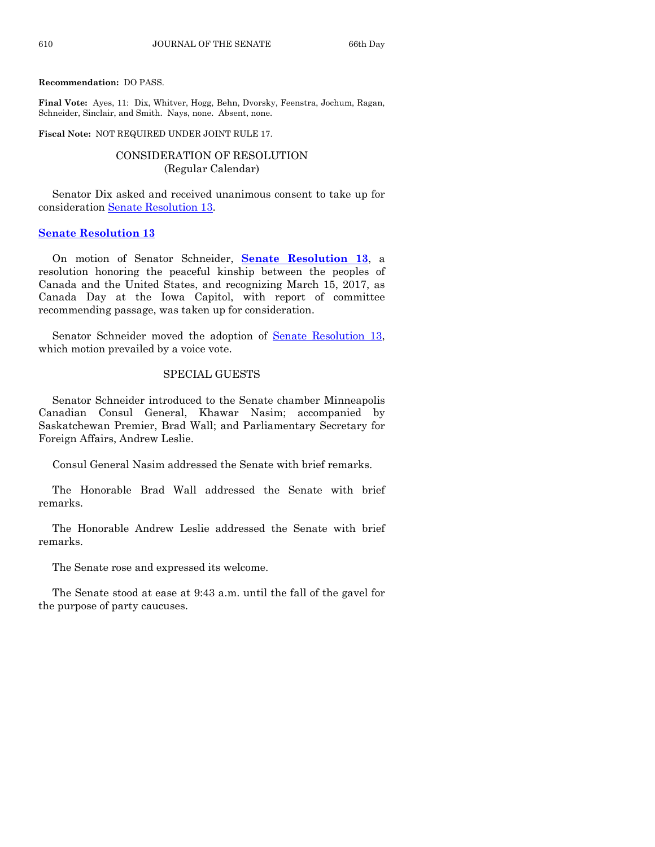**Recommendation:** DO PASS.

**Final Vote:** Ayes, 11: Dix, Whitver, Hogg, Behn, Dvorsky, Feenstra, Jochum, Ragan, Schneider, Sinclair, and Smith. Nays, none. Absent, none.

**Fiscal Note:** NOT REQUIRED UNDER JOINT RULE 17.

## CONSIDERATION OF RESOLUTION (Regular Calendar)

Senator Dix asked and received unanimous consent to take up for consideration [Senate Resolution 13.](https://www.legis.iowa.gov/legislation/BillBook?ga=87&ba=SR13)

#### **[Senate Resolution 13](https://www.legis.iowa.gov/legislation/BillBook?ga=87&ba=SR13)**

On motion of Senator Schneider, **Senate [Resolution 13](https://www.legis.iowa.gov/legislation/BillBook?ga=87&ba=SR13)**, a resolution honoring the peaceful kinship between the peoples of Canada and the United States, and recognizing March 15, 2017, as Canada Day at the Iowa Capitol, with report of committee recommending passage, was taken up for consideration.

Senator Schneider moved the adoption of [Senate Resolution 13,](https://www.legis.iowa.gov/legislation/BillBook?ga=87&ba=SR13) which motion prevailed by a voice vote.

## SPECIAL GUESTS

Senator Schneider introduced to the Senate chamber Minneapolis Canadian Consul General, Khawar Nasim; accompanied by Saskatchewan Premier, Brad Wall; and Parliamentary Secretary for Foreign Affairs, Andrew Leslie.

Consul General Nasim addressed the Senate with brief remarks.

The Honorable Brad Wall addressed the Senate with brief remarks.

The Honorable Andrew Leslie addressed the Senate with brief remarks.

The Senate rose and expressed its welcome.

The Senate stood at ease at 9:43 a.m. until the fall of the gavel for the purpose of party caucuses.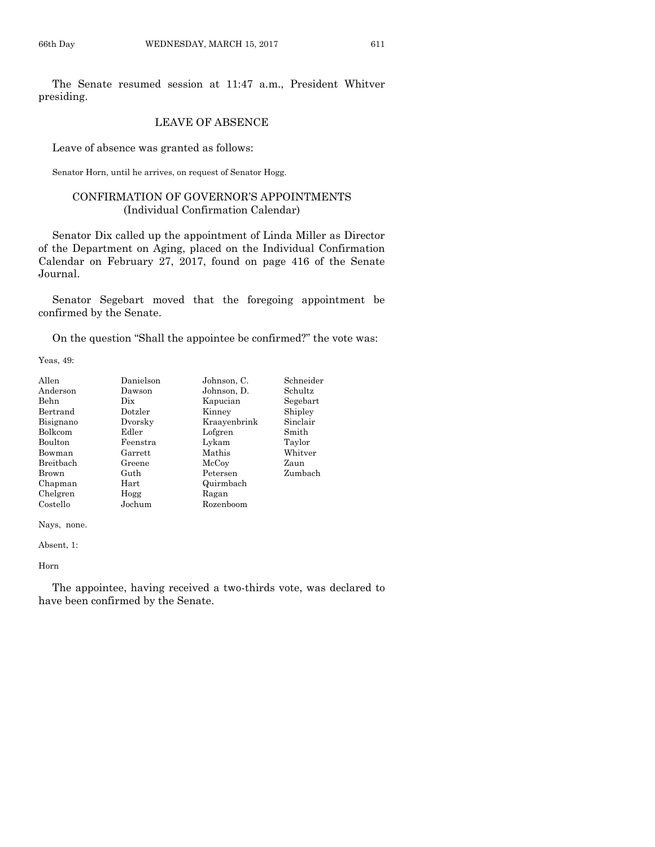The Senate resumed session at 11:47 a.m., President Whitver presiding.

## LEAVE OF ABSENCE

Leave of absence was granted as follows:

Senator Horn, until he arrives, on request of Senator Hogg.

## CONFIRMATION OF GOVERNOR'S APPOINTMENTS (Individual Confirmation Calendar)

Senator Dix called up the appointment of Linda Miller as Director of the Department on Aging, placed on the Individual Confirmation Calendar on February 27, 2017, found on page 416 of the Senate Journal.

Senator Segebart moved that the foregoing appointment be confirmed by the Senate.

On the question "Shall the appointee be confirmed?" the vote was:

Yeas, 49:

| Allen            | Danielson  | Johnson, C.  | Schneider |
|------------------|------------|--------------|-----------|
| Anderson         | Dawson     | Johnson, D.  | Schultz   |
| Behn             | Dix        | Kapucian     | Segebart  |
| Bertrand         | Dotzler    | Kinney       | Shipley   |
| Bisignano        | Dvorsky    | Kraayenbrink | Sinclair  |
| Bolkcom          | Edler      | Lofgren      | Smith     |
| <b>Boulton</b>   | Feenstra   | Lykam        | Taylor    |
| Bowman           | Garrett    | Mathis       | Whitver   |
| <b>Breithach</b> | Greene     | McCoy        | Zaun      |
| Brown            | Guth       | Petersen     | Zumbach   |
| Chapman          | $\rm Hart$ | Quirmbach    |           |
| Chelgren         | Hogg       | Ragan        |           |
| Costello         | Jochum     | Rozenboom    |           |

Nays, none.

Absent, 1:

Horn

The appointee, having received a two-thirds vote, was declared to have been confirmed by the Senate.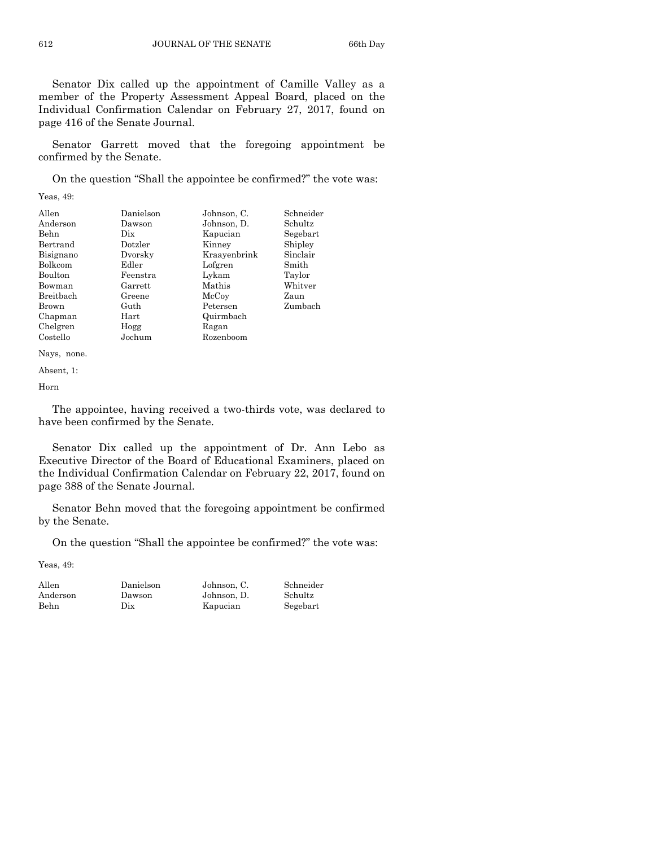Senator Dix called up the appointment of Camille Valley as a member of the Property Assessment Appeal Board, placed on the Individual Confirmation Calendar on February 27, 2017, found on page 416 of the Senate Journal.

Senator Garrett moved that the foregoing appointment be confirmed by the Senate.

On the question "Shall the appointee be confirmed?" the vote was:

Yeas, 49:

| Allen          | Danielson | Johnson, C.  | Schneider |
|----------------|-----------|--------------|-----------|
| Anderson       | Dawson    | Johnson, D.  | Schultz   |
| Behn           | Dix       | Kapucian     | Segebart  |
| Bertrand       | Dotzler   | Kinney       | Shipley   |
| Bisignano      | Dvorsky   | Kraavenbrink | Sinclair  |
| <b>Bolkcom</b> | Edler     | Lofgren      | Smith     |
| <b>Boulton</b> | Feenstra  | Lykam        | Taylor    |
| Bowman         | Garrett   | Mathis       | Whitver   |
| Breitbach      | Greene    | McCoy        | Zaun      |
| Brown          | Guth      | Petersen     | Zumbach   |
| Chapman        | Hart      | Quirmbach    |           |
| Chelgren       | Hogg      | Ragan        |           |
| Costello       | Jochum    | Rozenboom    |           |

Nays, none.

Absent, 1:

Horn

The appointee, having received a two-thirds vote, was declared to have been confirmed by the Senate.

Senator Dix called up the appointment of Dr. Ann Lebo as Executive Director of the Board of Educational Examiners, placed on the Individual Confirmation Calendar on February 22, 2017, found on page 388 of the Senate Journal.

Senator Behn moved that the foregoing appointment be confirmed by the Senate.

On the question "Shall the appointee be confirmed?" the vote was:

| Allen       | Danielson | Johnson, C. | Schneider |
|-------------|-----------|-------------|-----------|
| Anderson    | Dawson    | Johnson. D. | Schultz   |
| <b>Behn</b> | Dix       | Kapucian    | Segebart  |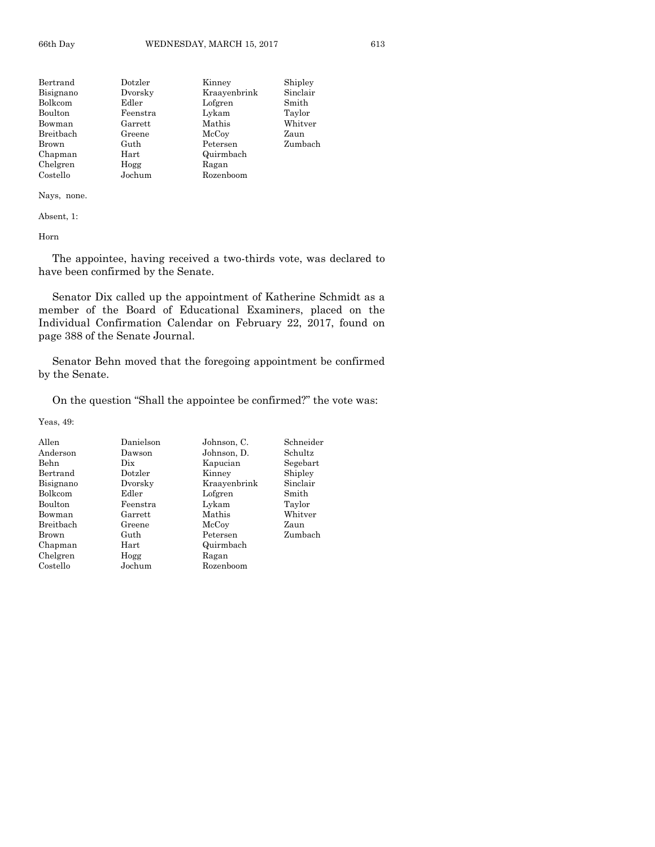| Bertrand  | Dotzler  | Kinney       | Shipley  |
|-----------|----------|--------------|----------|
| Bisignano | Dvorsky  | Kraavenbrink | Sinclair |
| Bolkcom   | Edler    | Lofgren      | Smith    |
| Boulton   | Feenstra | Lykam        | Taylor   |
| Bowman    | Garrett  | Mathis       | Whitver  |
| Breitbach | Greene   | McCoy        | Zaun     |
| Brown     | Guth     | Petersen     | Zumbach  |
| Chapman   | Hart     | Quirmbach    |          |
| Chelgren  | Hogg     | Ragan        |          |
| Costello  | Jochum   | Rozenboom    |          |

Absent, 1:

Horn

The appointee, having received a two-thirds vote, was declared to have been confirmed by the Senate.

Senator Dix called up the appointment of Katherine Schmidt as a member of the Board of Educational Examiners, placed on the Individual Confirmation Calendar on February 22, 2017, found on page 388 of the Senate Journal.

Senator Behn moved that the foregoing appointment be confirmed by the Senate.

On the question "Shall the appointee be confirmed?" the vote was:

| Allen     | Danielson | Johnson, C.  | Schneider |
|-----------|-----------|--------------|-----------|
| Anderson  | Dawson    | Johnson, D.  | Schultz   |
| Behn      | Dix       | Kapucian     | Segebart  |
| Bertrand  | Dotzler   | Kinney       | Shipley   |
| Bisignano | Dvorsky   | Kraayenbrink | Sinclair  |
| Bolkcom   | Edler     | Lofgren      | Smith     |
| Boulton   | Feenstra  | Lykam        | Taylor    |
| Bowman    | Garrett   | Mathis       | Whitver   |
| Breitbach | Greene    | McCoy        | Zaun      |
| Brown     | Guth      | Petersen     | Zumbach   |
| Chapman   | Hart      | Quirmbach    |           |
| Chelgren  | Hogg      | Ragan        |           |
| Costello  | Jochum    | Rozenboom    |           |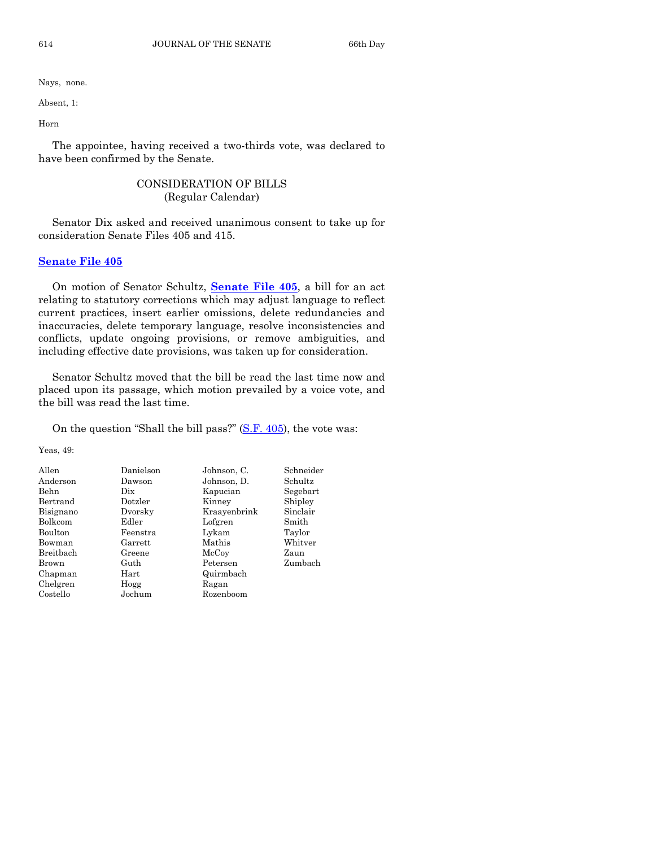Absent, 1:

Horn

The appointee, having received a two-thirds vote, was declared to have been confirmed by the Senate.

## CONSIDERATION OF BILLS (Regular Calendar)

Senator Dix asked and received unanimous consent to take up for consideration Senate Files 405 and 415.

## **[Senate File 405](https://www.legis.iowa.gov/legislation/BillBook?ga=87&ba=SF405)**

On motion of Senator Schultz, **[Senate File 405](https://www.legis.iowa.gov/legislation/BillBook?ga=87&ba=SF405)**, a bill for an act relating to statutory corrections which may adjust language to reflect current practices, insert earlier omissions, delete redundancies and inaccuracies, delete temporary language, resolve inconsistencies and conflicts, update ongoing provisions, or remove ambiguities, and including effective date provisions, was taken up for consideration.

Senator Schultz moved that the bill be read the last time now and placed upon its passage, which motion prevailed by a voice vote, and the bill was read the last time.

On the question "Shall the bill pass?" [\(S.F. 405\)](https://www.legis.iowa.gov/legislation/BillBook?ga=87&ba=SF405), the vote was:

| Danielson  | Johnson, C.  | Schneider |
|------------|--------------|-----------|
| Dawson     | Johnson, D.  | Schultz   |
| Dix        | Kapucian     | Segebart  |
| Dotzler    | Kinney       | Shipley   |
| Dvorsky    | Kraayenbrink | Sinclair  |
| Edler      | Lofgren      | Smith     |
| Feenstra   | Lykam        | Taylor    |
| Garrett    | Mathis       | Whitver   |
| Greene     | McCoy        | Zaun      |
| Guth       | Petersen     | Zumbach   |
| $\rm Hart$ | Quirmbach    |           |
| Hogg       | Ragan        |           |
| Jochum     | Rozenboom    |           |
|            |              |           |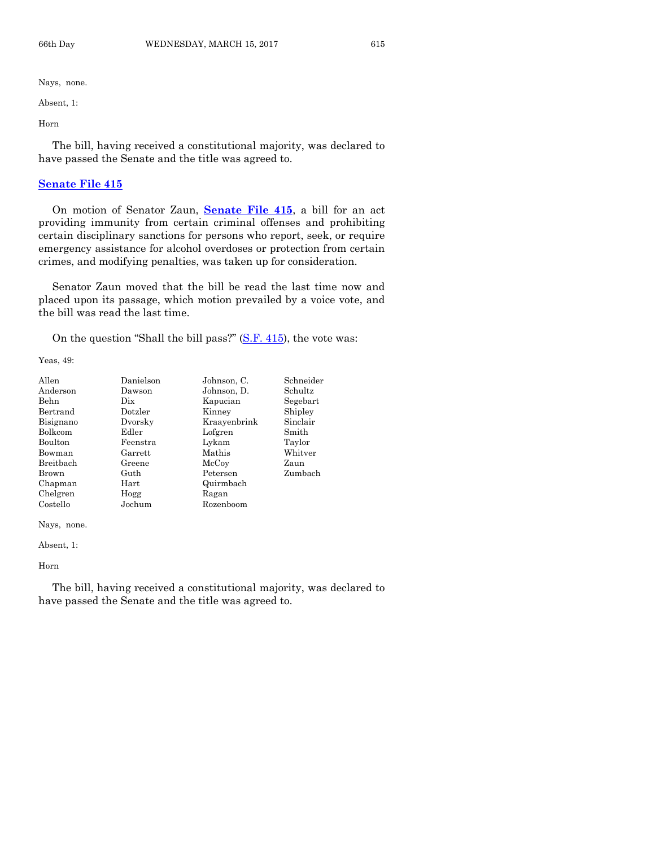Absent, 1:

Horn

The bill, having received a constitutional majority, was declared to have passed the Senate and the title was agreed to.

#### **[Senate File 415](https://www.legis.iowa.gov/legislation/BillBook?ga=87&ba=SF415)**

On motion of Senator Zaun, **[Senate File 415](https://www.legis.iowa.gov/legislation/BillBook?ga=87&ba=SF415)**, a bill for an act providing immunity from certain criminal offenses and prohibiting certain disciplinary sanctions for persons who report, seek, or require emergency assistance for alcohol overdoses or protection from certain crimes, and modifying penalties, was taken up for consideration.

Senator Zaun moved that the bill be read the last time now and placed upon its passage, which motion prevailed by a voice vote, and the bill was read the last time.

On the question "Shall the bill pass?"  $(S.F. 415)$ , the vote was:

Yeas, 49:

| Allen          | Danielson | Johnson, C.  | Schneider |
|----------------|-----------|--------------|-----------|
| Anderson       | Dawson    | Johnson, D.  | Schultz   |
| Behn           | Dix       | Kapucian     | Segebart  |
| Bertrand       | Dotzler   | Kinney       | Shipley   |
| Bisignano      | Dvorsky   | Kraayenbrink | Sinclair  |
| <b>Bolkcom</b> | Edler     | Lofgren      | Smith     |
| Boulton        | Feenstra  | Lykam        | Taylor    |
| Bowman         | Garrett   | Mathis       | Whitver   |
| Breitbach      | Greene    | McCoy        | Zaun      |
| Brown          | Guth      | Petersen     | Zumbach   |
| Chapman        | Hart      | Quirmbach    |           |
| Chelgren       | Hogg      | Ragan        |           |
| Costello       | Jochum    | Rozenboom    |           |

Nays, none.

Absent, 1:

Horn

The bill, having received a constitutional majority, was declared to have passed the Senate and the title was agreed to.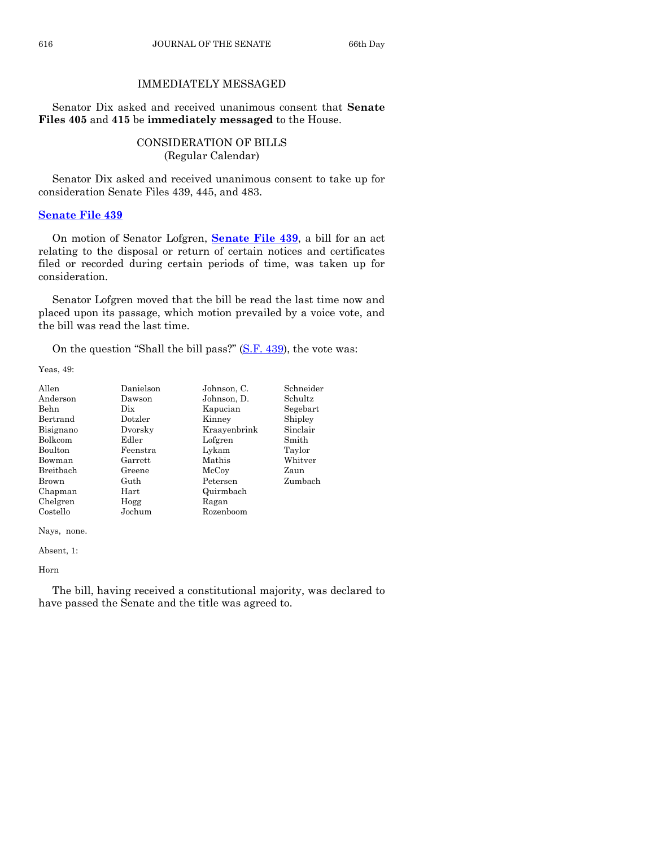## IMMEDIATELY MESSAGED

Senator Dix asked and received unanimous consent that **Senate Files 405** and **415** be **immediately messaged** to the House.

## CONSIDERATION OF BILLS (Regular Calendar)

Senator Dix asked and received unanimous consent to take up for consideration Senate Files 439, 445, and 483.

## **[Senate File 439](https://www.legis.iowa.gov/legislation/BillBook?ga=87&ba=SF439)**

On motion of Senator Lofgren, **[Senate File 439](https://www.legis.iowa.gov/legislation/BillBook?ga=87&ba=SF439)**, a bill for an act relating to the disposal or return of certain notices and certificates filed or recorded during certain periods of time, was taken up for consideration.

Senator Lofgren moved that the bill be read the last time now and placed upon its passage, which motion prevailed by a voice vote, and the bill was read the last time.

On the question "Shall the bill pass?" [\(S.F. 439\)](https://www.legis.iowa.gov/legislation/BillBook?ga=87&ba=SF439), the vote was:

Yeas, 49:

| Allen          | Danielson | Johnson, C.  | Schneider |
|----------------|-----------|--------------|-----------|
| Anderson       | Dawson    | Johnson, D.  | Schultz   |
| Behn           | Dix       | Kapucian     | Segebart  |
| Bertrand       | Dotzler   | Kinney       | Shipley   |
| Bisignano      | Dvorsky   | Kraayenbrink | Sinclair  |
| Bolkcom        | Edler     | Lofgren      | Smith     |
| <b>Boulton</b> | Feenstra  | Lykam        | Taylor    |
| Bowman         | Garrett   | Mathis       | Whitver   |
| Breitbach      | Greene    | McCoy        | Zaun      |
| Brown          | Guth      | Petersen     | Zumbach   |
| Chapman        | Hart      | Quirmbach    |           |
| Chelgren       | Hogg      | Ragan        |           |
| Costello       | Jochum    | Rozenboom    |           |

Nays, none.

Absent, 1:

Horn

The bill, having received a constitutional majority, was declared to have passed the Senate and the title was agreed to.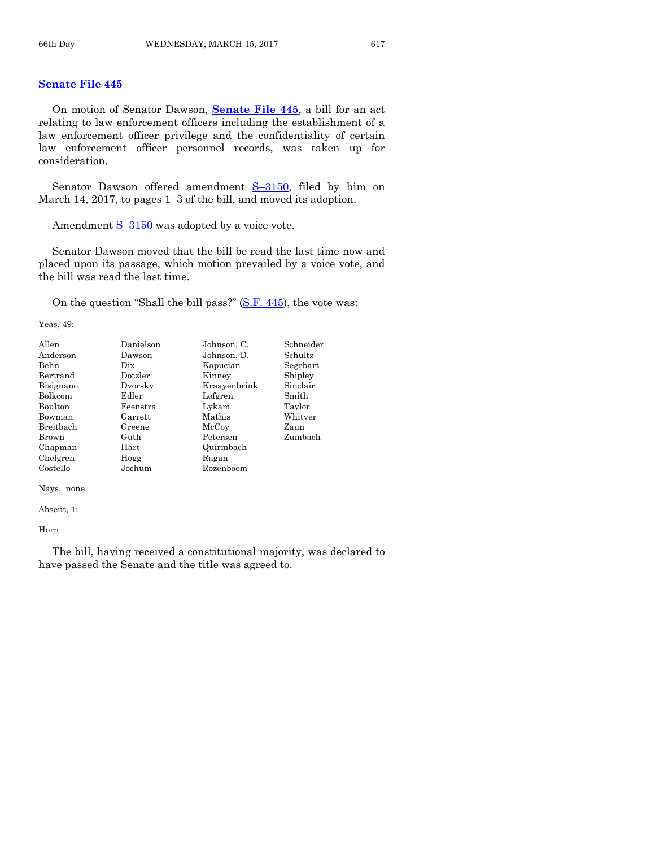## **[Senate File 445](https://www.legis.iowa.gov/legislation/BillBook?ga=87&ba=SF445)**

On motion of Senator Dawson, **[Senate File 445](https://www.legis.iowa.gov/legislation/BillBook?ga=87&ba=SF445)**, a bill for an act relating to law enforcement officers including the establishment of a law enforcement officer privilege and the confidentiality of certain law enforcement officer personnel records, was taken up for consideration.

Senator Dawson offered amendment S-[3150,](https://www.legis.iowa.gov/legislation/BillBook?ga=87&ba=S3150) filed by him on March 14, 2017, to pages 1–3 of the bill, and moved its adoption.

Amendment  $S-3150$  $S-3150$  was adopted by a voice vote.

Senator Dawson moved that the bill be read the last time now and placed upon its passage, which motion prevailed by a voice vote, and the bill was read the last time.

On the question "Shall the bill pass?" [\(S.F. 445\)](https://www.legis.iowa.gov/legislation/BillBook?ga=87&ba=SF445), the vote was:

Yeas, 49:

| Allen     | Danielson | Johnson, C.  | Schneider |
|-----------|-----------|--------------|-----------|
| Anderson  | Dawson    | Johnson, D.  | Schultz   |
| Behn      | Dix.      | Kapucian     | Segebart  |
| Bertrand  | Dotzler   | Kinney       | Shipley   |
| Bisignano | Dvorsky   | Kraayenbrink | Sinclair  |
| Bolkcom   | Edler     | Lofgren      | Smith     |
| Boulton   | Feenstra  | Lykam        | Taylor    |
| Bowman    | Garrett   | Mathis       | Whitver   |
| Breitbach | Greene    | McCoy        | Zaun      |
| Brown     | Guth      | Petersen     | Zumbach   |
| Chapman   | Hart      | Quirmbach    |           |
| Chelgren  | Hogg      | Ragan        |           |
| Costello  | Jochum    | Rozenboom    |           |

Nays, none.

Absent, 1:

Horn

The bill, having received a constitutional majority, was declared to have passed the Senate and the title was agreed to.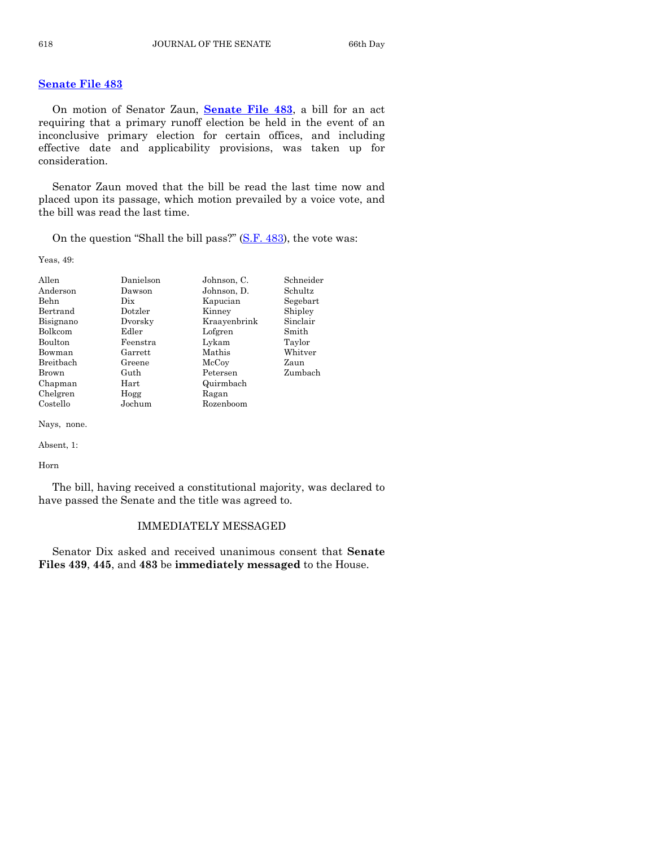## **[Senate File 483](https://www.legis.iowa.gov/legislation/BillBook?ga=87&ba=SF483)**

On motion of Senator Zaun, **[Senate File 483](https://www.legis.iowa.gov/legislation/BillBook?ga=87&ba=SF483)**, a bill for an act requiring that a primary runoff election be held in the event of an inconclusive primary election for certain offices, and including effective date and applicability provisions, was taken up for consideration.

Senator Zaun moved that the bill be read the last time now and placed upon its passage, which motion prevailed by a voice vote, and the bill was read the last time.

On the question "Shall the bill pass?" [\(S.F. 483\)](https://www.legis.iowa.gov/legislation/BillBook?ga=87&ba=SF483), the vote was:

Yeas, 49:

| Allen            | Danielson | Johnson, C.  | Schneider |
|------------------|-----------|--------------|-----------|
| Anderson         | Dawson    | Johnson, D.  | Schultz   |
| Behn             | Dix       | Kapucian     | Segebart  |
| Bertrand         | Dotzler   | Kinney       | Shipley   |
| Bisignano        | Dvorsky   | Kraayenbrink | Sinclair  |
| <b>Bolkcom</b>   | Edler     | Lofgren      | Smith     |
| Boulton          | Feenstra  | Lykam        | Taylor    |
| Bowman           | Garrett   | Mathis       | Whitver   |
| <b>Breithach</b> | Greene    | McCoy        | Zaun      |
| Brown            | Guth      | Petersen     | Zumbach   |
| Chapman          | Hart      | Quirmbach    |           |
| Chelgren         | Hogg      | Ragan        |           |
| Costello         | Jochum    | Rozenboom    |           |

Nays, none.

Absent, 1:

Horn

The bill, having received a constitutional majority, was declared to have passed the Senate and the title was agreed to.

## IMMEDIATELY MESSAGED

Senator Dix asked and received unanimous consent that **Senate Files 439**, **445**, and **483** be **immediately messaged** to the House.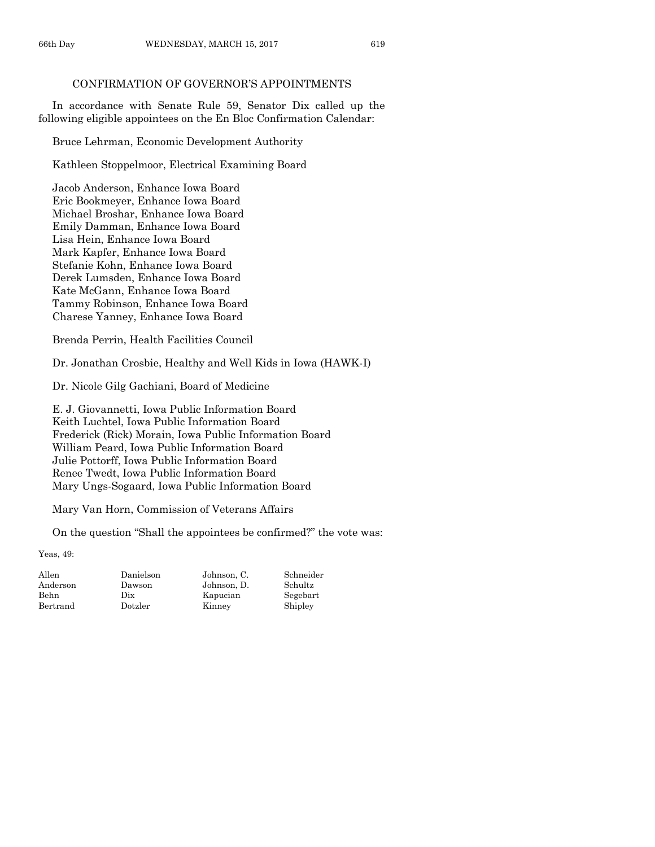## CONFIRMATION OF GOVERNOR'S APPOINTMENTS

In accordance with Senate Rule 59, Senator Dix called up the following eligible appointees on the En Bloc Confirmation Calendar:

Bruce Lehrman, Economic Development Authority

Kathleen Stoppelmoor, Electrical Examining Board

Jacob Anderson, Enhance Iowa Board Eric Bookmeyer, Enhance Iowa Board Michael Broshar, Enhance Iowa Board Emily Damman, Enhance Iowa Board Lisa Hein, Enhance Iowa Board Mark Kapfer, Enhance Iowa Board Stefanie Kohn, Enhance Iowa Board Derek Lumsden, Enhance Iowa Board Kate McGann, Enhance Iowa Board Tammy Robinson, Enhance Iowa Board Charese Yanney, Enhance Iowa Board

Brenda Perrin, Health Facilities Council

Dr. Jonathan Crosbie, Healthy and Well Kids in Iowa (HAWK-I)

Dr. Nicole Gilg Gachiani, Board of Medicine

E. J. Giovannetti, Iowa Public Information Board Keith Luchtel, Iowa Public Information Board Frederick (Rick) Morain, Iowa Public Information Board William Peard, Iowa Public Information Board Julie Pottorff, Iowa Public Information Board Renee Twedt, Iowa Public Information Board Mary Ungs-Sogaard, Iowa Public Information Board

Mary Van Horn, Commission of Veterans Affairs

On the question "Shall the appointees be confirmed?" the vote was:

| Danielson | Johnson. C. | Schneider |
|-----------|-------------|-----------|
| Dawson    | Johnson. D. | Schultz   |
| Dix       | Kapucian    | Segebart  |
| Dotzler   | Kinney      | Shipley   |
|           |             |           |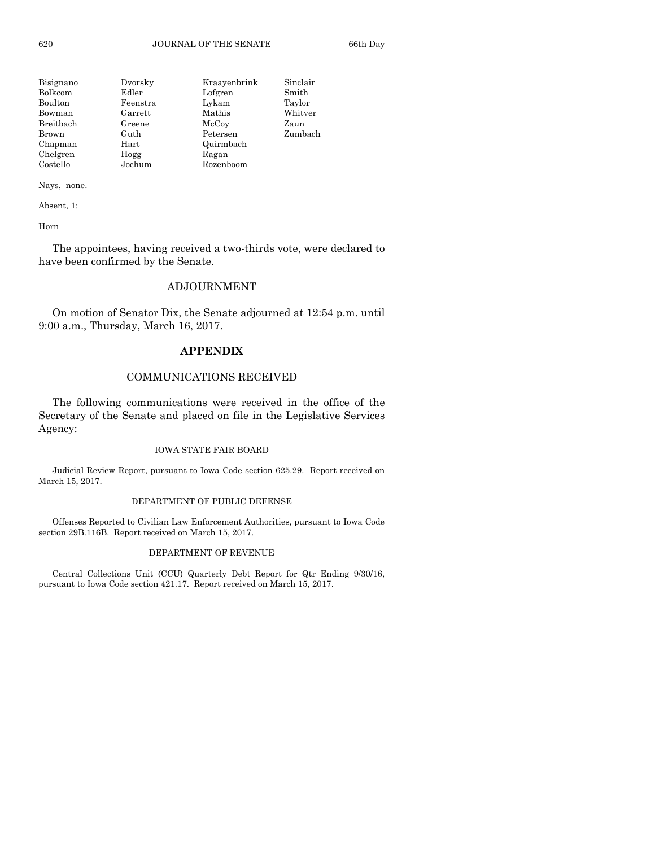| Bisignano | Dvorsky  | Kraayenbrink | Sinclair |
|-----------|----------|--------------|----------|
| Bolkcom   | Edler    | Lofgren      | Smith    |
| Boulton   | Feenstra | Lykam        | Taylor   |
| Bowman    | Garrett  | Mathis       | Whitver  |
| Breitbach | Greene   | McCoy        | Zaun     |
| Brown     | Guth     | Petersen     | Zumbach  |
| Chapman   | Hart     | Quirmbach    |          |
| Chelgren  | Hogg     | Ragan        |          |
| Costello  | Jochum   | Rozenboom    |          |

Absent, 1:

Horn

The appointees, having received a two-thirds vote, were declared to have been confirmed by the Senate.

## ADJOURNMENT

On motion of Senator Dix, the Senate adjourned at 12:54 p.m. until 9:00 a.m., Thursday, March 16, 2017.

## **APPENDIX**

## COMMUNICATIONS RECEIVED

The following communications were received in the office of the Secretary of the Senate and placed on file in the Legislative Services Agency:

#### IOWA STATE FAIR BOARD

Judicial Review Report, pursuant to Iowa Code section 625.29. Report received on March 15, 2017.

#### DEPARTMENT OF PUBLIC DEFENSE

Offenses Reported to Civilian Law Enforcement Authorities, pursuant to Iowa Code section 29B.116B. Report received on March 15, 2017.

#### DEPARTMENT OF REVENUE

Central Collections Unit (CCU) Quarterly Debt Report for Qtr Ending 9/30/16, pursuant to Iowa Code section 421.17. Report received on March 15, 2017.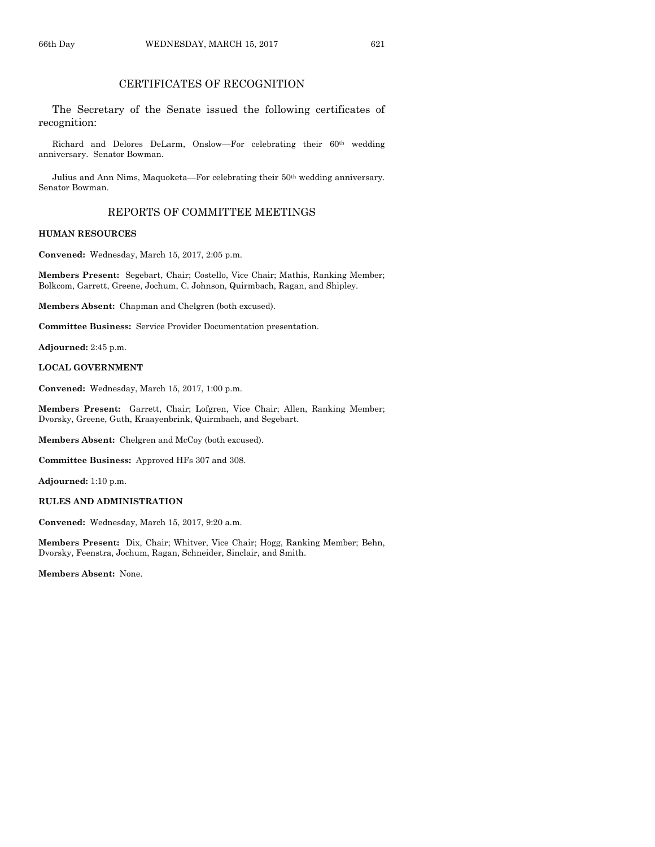## CERTIFICATES OF RECOGNITION

The Secretary of the Senate issued the following certificates of recognition:

Richard and Delores DeLarm, Onslow—For celebrating their  $60<sup>th</sup>$  wedding anniversary. Senator Bowman.

Julius and Ann Nims, Maquoketa—For celebrating their 50th wedding anniversary. Senator Bowman.

## REPORTS OF COMMITTEE MEETINGS

#### **HUMAN RESOURCES**

**Convened:** Wednesday, March 15, 2017, 2:05 p.m.

**Members Present:** Segebart, Chair; Costello, Vice Chair; Mathis, Ranking Member; Bolkcom, Garrett, Greene, Jochum, C. Johnson, Quirmbach, Ragan, and Shipley.

**Members Absent:** Chapman and Chelgren (both excused).

**Committee Business:** Service Provider Documentation presentation.

**Adjourned:** 2:45 p.m.

#### **LOCAL GOVERNMENT**

**Convened:** Wednesday, March 15, 2017, 1:00 p.m.

**Members Present:** Garrett, Chair; Lofgren, Vice Chair; Allen, Ranking Member; Dvorsky, Greene, Guth, Kraayenbrink, Quirmbach, and Segebart.

**Members Absent:** Chelgren and McCoy (both excused).

**Committee Business:** Approved HFs 307 and 308.

**Adjourned:** 1:10 p.m.

#### **RULES AND ADMINISTRATION**

**Convened:** Wednesday, March 15, 2017, 9:20 a.m.

**Members Present:** Dix, Chair; Whitver, Vice Chair; Hogg, Ranking Member; Behn, Dvorsky, Feenstra, Jochum, Ragan, Schneider, Sinclair, and Smith.

**Members Absent:** None.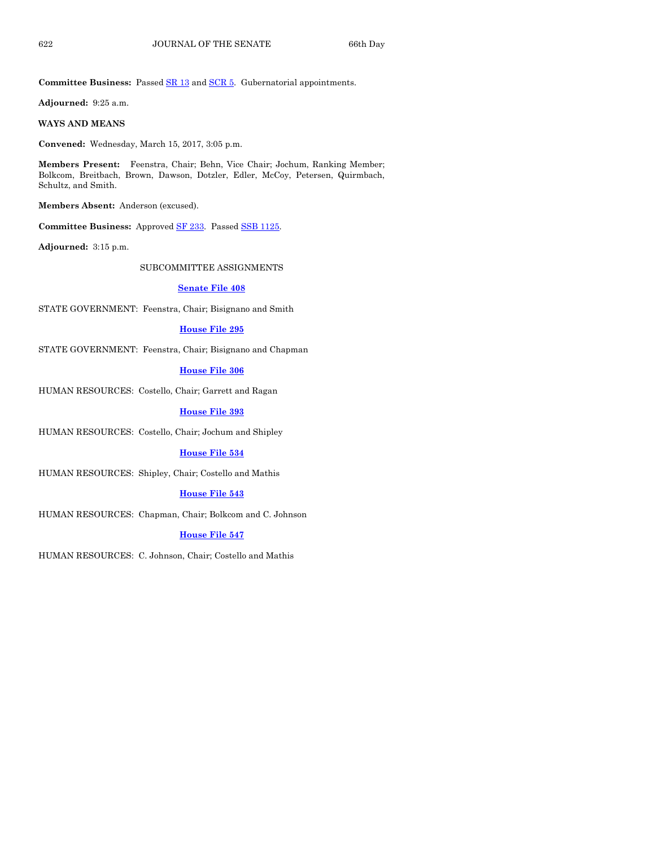**Committee Business:** Passed [SR 13](https://www.legis.iowa.gov/legislation/BillBook?ga=87&ba=SR13) an[d SCR 5.](https://www.legis.iowa.gov/legislation/BillBook?ga=87&ba=SCR5) Gubernatorial appointments.

**Adjourned:** 9:25 a.m.

#### **WAYS AND MEANS**

**Convened:** Wednesday, March 15, 2017, 3:05 p.m.

**Members Present:** Feenstra, Chair; Behn, Vice Chair; Jochum, Ranking Member; Bolkcom, Breitbach, Brown, Dawson, Dotzler, Edler, McCoy, Petersen, Quirmbach, Schultz, and Smith.

**Members Absent:** Anderson (excused).

**Committee Business:** Approved [SF 233.](https://www.legis.iowa.gov/legislation/BillBook?ga=87&ba=SF233) Passe[d SSB 1125.](https://www.legis.iowa.gov/legislation/BillBook?ga=87&ba=SSB1125)

**Adjourned:** 3:15 p.m.

SUBCOMMITTEE ASSIGNMENTS

#### **[Senate File 408](https://www.legis.iowa.gov/legislation/BillBook?ga=87&ba=SF408)**

STATE GOVERNMENT: Feenstra, Chair; Bisignano and Smith

#### **[House File 295](https://www.legis.iowa.gov/legislation/BillBook?ga=87&ba=HF295)**

STATE GOVERNMENT: Feenstra, Chair; Bisignano and Chapman

#### **[House File 306](https://www.legis.iowa.gov/legislation/BillBook?ga=87&ba=HF306)**

HUMAN RESOURCES: Costello, Chair; Garrett and Ragan

#### **[House File 393](https://www.legis.iowa.gov/legislation/BillBook?ga=87&ba=HF393)**

HUMAN RESOURCES: Costello, Chair; Jochum and Shipley

#### **[House File 534](https://www.legis.iowa.gov/legislation/BillBook?ga=87&ba=HF534)**

HUMAN RESOURCES: Shipley, Chair; Costello and Mathis

#### **[House File 543](https://www.legis.iowa.gov/legislation/BillBook?ga=87&ba=HF543)**

HUMAN RESOURCES: Chapman, Chair; Bolkcom and C. Johnson

#### **[House File 547](https://www.legis.iowa.gov/legislation/BillBook?ga=87&ba=HF547)**

HUMAN RESOURCES: C. Johnson, Chair; Costello and Mathis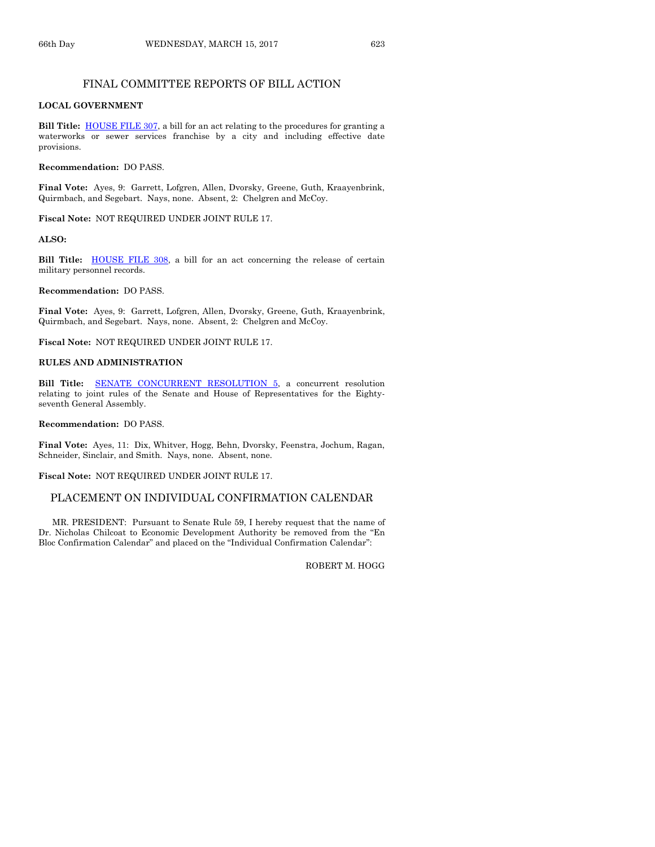## FINAL COMMITTEE REPORTS OF BILL ACTION

#### **LOCAL GOVERNMENT**

**Bill Title:** [HOUSE FILE 307,](https://www.legis.iowa.gov/legislation/BillBook?ga=87&ba=HF307) a bill for an act relating to the procedures for granting a waterworks or sewer services franchise by a city and including effective date provisions.

#### **Recommendation:** DO PASS.

**Final Vote:** Ayes, 9: Garrett, Lofgren, Allen, Dvorsky, Greene, Guth, Kraayenbrink, Quirmbach, and Segebart. Nays, none. Absent, 2: Chelgren and McCoy.

#### **Fiscal Note:** NOT REQUIRED UNDER JOINT RULE 17.

#### **ALSO:**

**Bill Title:** [HOUSE FILE 308,](https://www.legis.iowa.gov/legislation/BillBook?ga=87&ba=HF308) a bill for an act concerning the release of certain military personnel records.

#### **Recommendation:** DO PASS.

**Final Vote:** Ayes, 9: Garrett, Lofgren, Allen, Dvorsky, Greene, Guth, Kraayenbrink, Quirmbach, and Segebart. Nays, none. Absent, 2: Chelgren and McCoy.

**Fiscal Note:** NOT REQUIRED UNDER JOINT RULE 17.

#### **RULES AND ADMINISTRATION**

Bill Title: **SENATE CONCURRENT RESOLUTION 5**, a concurrent resolution relating to joint rules of the Senate and House of Representatives for the Eightyseventh General Assembly.

#### **Recommendation:** DO PASS.

**Final Vote:** Ayes, 11: Dix, Whitver, Hogg, Behn, Dvorsky, Feenstra, Jochum, Ragan, Schneider, Sinclair, and Smith. Nays, none. Absent, none.

**Fiscal Note:** NOT REQUIRED UNDER JOINT RULE 17.

#### PLACEMENT ON INDIVIDUAL CONFIRMATION CALENDAR

MR. PRESIDENT: Pursuant to Senate Rule 59, I hereby request that the name of Dr. Nicholas Chilcoat to Economic Development Authority be removed from the "En Bloc Confirmation Calendar" and placed on the "Individual Confirmation Calendar":

ROBERT M. HOGG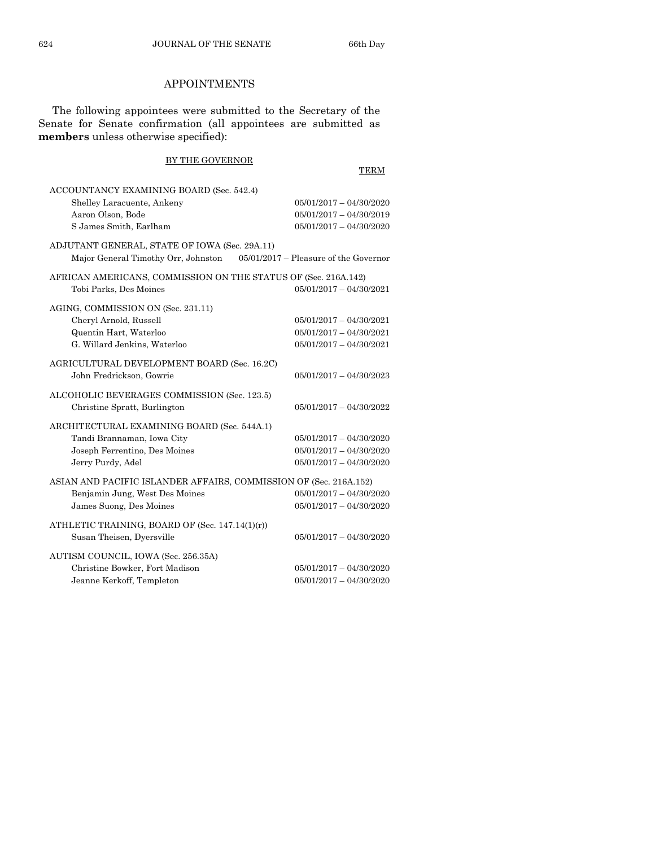## APPOINTMENTS

The following appointees were submitted to the Secretary of the Senate for Senate confirmation (all appointees are submitted as **members** unless otherwise specified):

## BY THE GOVERNOR TERM ACCOUNTANCY EXAMINING BOARD (Sec. 542.4) Shelley Laracuente, Ankeny 05/01/2017 – 04/30/2020 Aaron Olson, Bode 05/01/2017 – 04/30/2019 S James Smith, Earlham 05/01/2017 – 04/30/2020 ADJUTANT GENERAL, STATE OF IOWA (Sec. 29A.11) Major General Timothy Orr, Johnston 05/01/2017 – Pleasure of the Governor AFRICAN AMERICANS, COMMISSION ON THE STATUS OF (Sec. 216A.142) Tobi Parks, Des Moines 05/01/2017 – 04/30/2021 AGING, COMMISSION ON (Sec. 231.11) Cheryl Arnold, Russell 05/01/2017 – 04/30/2021 Quentin Hart, Waterloo 05/01/2017 – 04/30/2021 G. Willard Jenkins, Waterloo 05/01/2017 – 04/30/2021 AGRICULTURAL DEVELOPMENT BOARD (Sec. 16.2C) John Fredrickson, Gowrie 05/01/2017 – 04/30/2023 ALCOHOLIC BEVERAGES COMMISSION (Sec. 123.5) Christine Spratt, Burlington 05/01/2017 – 04/30/2022 ARCHITECTURAL EXAMINING BOARD (Sec. 544A.1) Tandi Brannaman, Iowa City 05/01/2017 – 04/30/2020 Joseph Ferrentino, Des Moines 05/01/2017 – 04/30/2020 Jerry Purdy, Adel 05/01/2017 – 04/30/2020 ASIAN AND PACIFIC ISLANDER AFFAIRS, COMMISSION OF (Sec. 216A.152) Benjamin Jung, West Des Moines 05/01/2017 – 04/30/2020 James Suong, Des Moines 05/01/2017 – 04/30/2020 ATHLETIC TRAINING, BOARD OF (Sec. 147.14(1)(r)) Susan Theisen, Dyersville 05/01/2017 – 04/30/2020 AUTISM COUNCIL, IOWA (Sec. 256.35A)  $Christine Bowker.$  Fort Madison  $05/01/2017 - 04/30/2020$ Jeanne Kerkoff, Templeton 05/01/2017 – 04/30/2020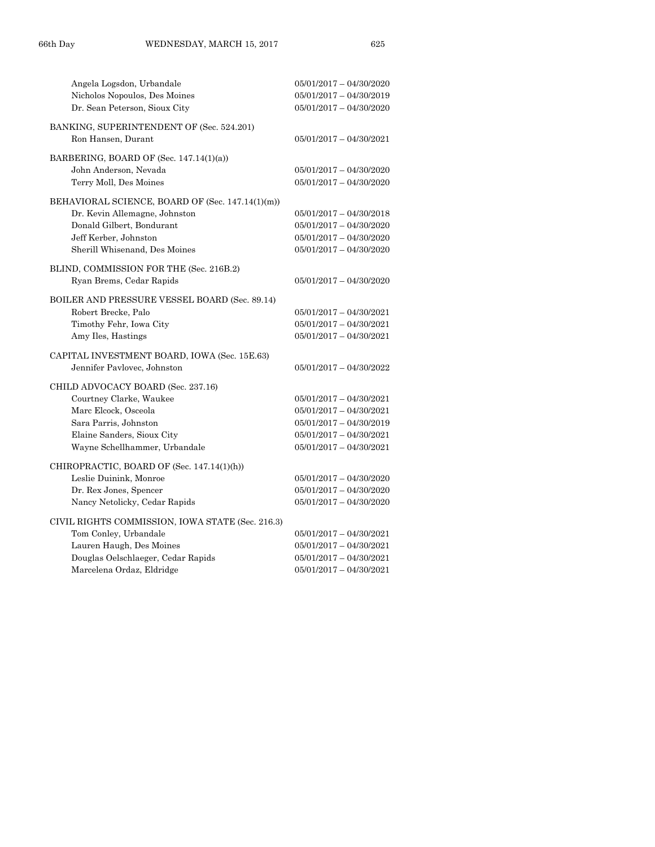| Angela Logsdon, Urbandale                        | $05/01/2017 - 04/30/2020$ |
|--------------------------------------------------|---------------------------|
| Nicholos Nopoulos, Des Moines                    | $05/01/2017 - 04/30/2019$ |
| Dr. Sean Peterson, Sioux City                    | $05/01/2017 - 04/30/2020$ |
| BANKING, SUPERINTENDENT OF (Sec. 524.201)        |                           |
| Ron Hansen, Durant                               | $05/01/2017 - 04/30/2021$ |
| BARBERING, BOARD OF (Sec. 147.14(1)(a))          |                           |
| John Anderson, Nevada                            | $05/01/2017 - 04/30/2020$ |
| Terry Moll, Des Moines                           | $05/01/2017 - 04/30/2020$ |
| BEHAVIORAL SCIENCE, BOARD OF (Sec. 147.14(1)(m)) |                           |
| Dr. Kevin Allemagne, Johnston                    | $05/01/2017 - 04/30/2018$ |
| Donald Gilbert, Bondurant                        | $05/01/2017 - 04/30/2020$ |
| Jeff Kerber, Johnston                            | $05/01/2017 - 04/30/2020$ |
| Sherill Whisenand, Des Moines                    | $05/01/2017 - 04/30/2020$ |
| BLIND, COMMISSION FOR THE (Sec. 216B.2)          |                           |
| Ryan Brems, Cedar Rapids                         | $05/01/2017 - 04/30/2020$ |
| BOILER AND PRESSURE VESSEL BOARD (Sec. 89.14)    |                           |
| Robert Brecke, Palo                              | $05/01/2017 - 04/30/2021$ |
| Timothy Fehr, Iowa City                          | $05/01/2017 - 04/30/2021$ |
| Amy Iles, Hastings                               | $05/01/2017 - 04/30/2021$ |
| CAPITAL INVESTMENT BOARD, IOWA (Sec. 15E.63)     |                           |
| Jennifer Pavlovec, Johnston                      | $05/01/2017 - 04/30/2022$ |
| CHILD ADVOCACY BOARD (Sec. 237.16)               |                           |
| Courtney Clarke, Waukee                          | $05/01/2017 - 04/30/2021$ |
| Marc Elcock, Osceola                             | $05/01/2017 - 04/30/2021$ |
| Sara Parris, Johnston                            | $05/01/2017 - 04/30/2019$ |
| Elaine Sanders, Sioux City                       | $05/01/2017 - 04/30/2021$ |
| Wayne Schellhammer, Urbandale                    | $05/01/2017 - 04/30/2021$ |
|                                                  |                           |
| CHIROPRACTIC, BOARD OF (Sec. 147.14(1)(h))       |                           |
| Leslie Duinink, Monroe                           | $05/01/2017 - 04/30/2020$ |
| Dr. Rex Jones, Spencer                           | $05/01/2017 - 04/30/2020$ |
| Nancy Netolicky, Cedar Rapids                    | $05/01/2017 - 04/30/2020$ |
| CIVIL RIGHTS COMMISSION, IOWA STATE (Sec. 216.3) |                           |
| Tom Conley, Urbandale                            | $05/01/2017 - 04/30/2021$ |
| Lauren Haugh, Des Moines                         | $05/01/2017 - 04/30/2021$ |
| Douglas Oelschlaeger, Cedar Rapids               | $05/01/2017 - 04/30/2021$ |
| Marcelena Ordaz, Eldridge                        | $05/01/2017 - 04/30/2021$ |
|                                                  |                           |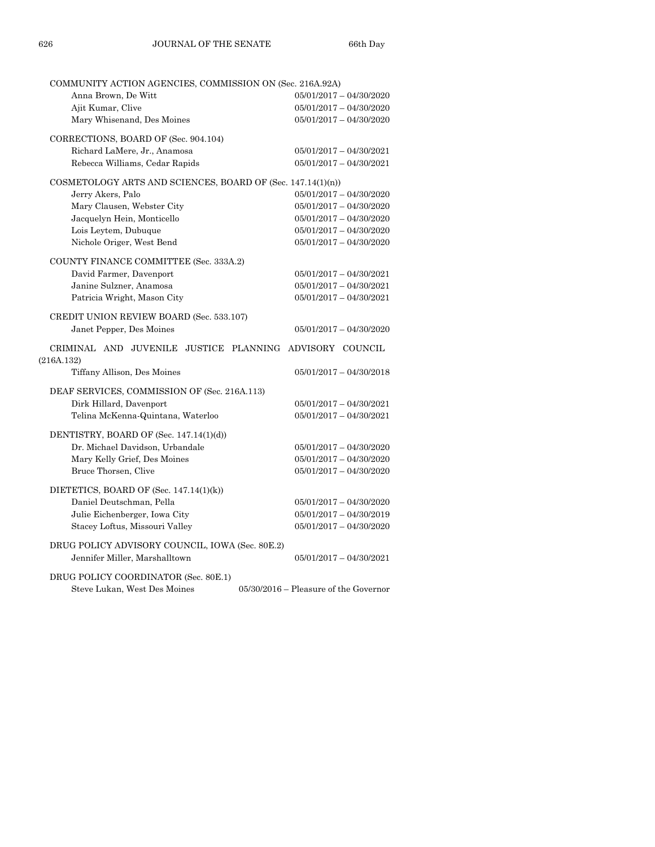| COMMUNITY ACTION AGENCIES, COMMISSION ON (Sec. 216A.92A)               |                                         |
|------------------------------------------------------------------------|-----------------------------------------|
| Anna Brown, De Witt                                                    | $05/01/2017 - 04/30/2020$               |
| Ajit Kumar, Clive                                                      | $05/01/2017 - 04/30/2020$               |
| Mary Whisenand, Des Moines                                             | $05/01/2017 - 04/30/2020$               |
| CORRECTIONS, BOARD OF (Sec. 904.104)                                   |                                         |
| Richard LaMere, Jr., Anamosa                                           | $05/01/2017 - 04/30/2021$               |
| Rebecca Williams, Cedar Rapids                                         | $05/01/2017 - 04/30/2021$               |
| COSMETOLOGY ARTS AND SCIENCES, BOARD OF (Sec. $147.14(1)(n)$ )         |                                         |
| Jerry Akers, Palo                                                      | $05/01/2017 - 04/30/2020$               |
| Mary Clausen, Webster City                                             | $05/01/2017 - 04/30/2020$               |
| Jacquelyn Hein, Monticello                                             | $05/01/2017 - 04/30/2020$               |
| Lois Leytem, Dubuque                                                   | $05/01/2017 - 04/30/2020$               |
| Nichole Origer, West Bend                                              | $05/01/2017 - 04/30/2020$               |
| COUNTY FINANCE COMMITTEE (Sec. 333A.2)                                 |                                         |
| David Farmer, Davenport                                                | $05/01/2017 - 04/30/2021$               |
| Janine Sulzner, Anamosa                                                | $05/01/2017 - 04/30/2021$               |
| Patricia Wright, Mason City                                            | $05/01/2017 - 04/30/2021$               |
|                                                                        |                                         |
| CREDIT UNION REVIEW BOARD (Sec. 533.107)                               |                                         |
| Janet Pepper, Des Moines                                               | $05/01/2017 - 04/30/2020$               |
| CRIMINAL AND JUVENILE JUSTICE PLANNING ADVISORY COUNCIL<br>(216A.132)  |                                         |
| Tiffany Allison, Des Moines                                            | $05/01/2017 - 04/30/2018$               |
| DEAF SERVICES, COMMISSION OF (Sec. 216A.113)                           |                                         |
| Dirk Hillard, Davenport                                                | $05/01/2017 - 04/30/2021$               |
| Telina McKenna-Quintana, Waterloo                                      | $05/01/2017 - 04/30/2021$               |
| DENTISTRY, BOARD OF (Sec. 147.14(1)(d))                                |                                         |
| Dr. Michael Davidson, Urbandale                                        | $05/01/2017 - 04/30/2020$               |
| Mary Kelly Grief, Des Moines                                           | $05/01/2017 - 04/30/2020$               |
| Bruce Thorsen, Clive                                                   | $05/01/2017 - 04/30/2020$               |
|                                                                        |                                         |
| DIETETICS, BOARD OF (Sec. $147.14(1)(k)$ )<br>Daniel Deutschman, Pella | $05/01/2017 - 04/30/2020$               |
|                                                                        |                                         |
| Julie Eichenberger, Iowa City                                          | $05/01/2017 - 04/30/2019$               |
| Stacey Loftus, Missouri Valley                                         | $05/01/2017 - 04/30/2020$               |
| DRUG POLICY ADVISORY COUNCIL, IOWA (Sec. 80E.2)                        |                                         |
| Jennifer Miller, Marshalltown                                          | $05/01/2017 - 04/30/2021$               |
| DRUG POLICY COORDINATOR (Sec. 80E.1)                                   |                                         |
| Steve Lukan, West Des Moines                                           | $05/30/2016$ – Pleasure of the Governor |
|                                                                        |                                         |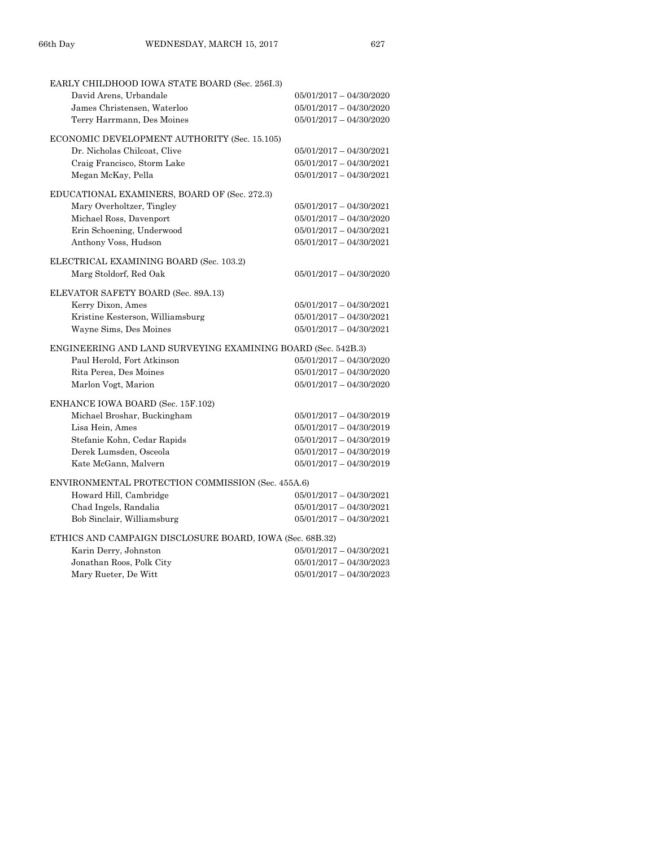| EARLY CHILDHOOD IOWA STATE BOARD (Sec. 256I.3)               |                           |
|--------------------------------------------------------------|---------------------------|
| David Arens, Urbandale                                       | $05/01/2017 - 04/30/2020$ |
| James Christensen, Waterloo                                  | $05/01/2017 - 04/30/2020$ |
| Terry Harrmann, Des Moines                                   | $05/01/2017 - 04/30/2020$ |
| ECONOMIC DEVELOPMENT AUTHORITY (Sec. 15.105)                 |                           |
| Dr. Nicholas Chilcoat, Clive                                 | $05/01/2017 - 04/30/2021$ |
| Craig Francisco, Storm Lake                                  | $05/01/2017 - 04/30/2021$ |
| Megan McKay, Pella                                           | $05/01/2017 - 04/30/2021$ |
| EDUCATIONAL EXAMINERS, BOARD OF (Sec. 272.3)                 |                           |
| Mary Overholtzer, Tingley                                    | $05/01/2017 - 04/30/2021$ |
| Michael Ross, Davenport                                      | $05/01/2017 - 04/30/2020$ |
| Erin Schoening, Underwood                                    | $05/01/2017 - 04/30/2021$ |
| Anthony Voss, Hudson                                         | $05/01/2017 - 04/30/2021$ |
|                                                              |                           |
| ELECTRICAL EXAMINING BOARD (Sec. 103.2)                      |                           |
| Marg Stoldorf, Red Oak                                       | $05/01/2017 - 04/30/2020$ |
| ELEVATOR SAFETY BOARD (Sec. 89A.13)                          |                           |
| Kerry Dixon, Ames                                            | $05/01/2017 - 04/30/2021$ |
| Kristine Kesterson, Williamsburg                             | $05/01/2017 - 04/30/2021$ |
| Wayne Sims, Des Moines                                       | $05/01/2017 - 04/30/2021$ |
| ENGINEERING AND LAND SURVEYING EXAMINING BOARD (Sec. 542B.3) |                           |
| Paul Herold, Fort Atkinson                                   | $05/01/2017 - 04/30/2020$ |
| Rita Perea. Des Moines                                       | $05/01/2017 - 04/30/2020$ |
| Marlon Vogt, Marion                                          | $05/01/2017 - 04/30/2020$ |
|                                                              |                           |
| ENHANCE IOWA BOARD (Sec. 15F.102)                            |                           |
| Michael Broshar, Buckingham                                  | $05/01/2017 - 04/30/2019$ |
| Lisa Hein, Ames                                              | $05/01/2017 - 04/30/2019$ |
| Stefanie Kohn, Cedar Rapids                                  | $05/01/2017 - 04/30/2019$ |
| Derek Lumsden, Osceola                                       | $05/01/2017 - 04/30/2019$ |
| Kate McGann, Malvern                                         | $05/01/2017 - 04/30/2019$ |
| ENVIRONMENTAL PROTECTION COMMISSION (Sec. 455A.6)            |                           |
| Howard Hill, Cambridge                                       | $05/01/2017 - 04/30/2021$ |
| Chad Ingels, Randalia                                        | $05/01/2017 - 04/30/2021$ |
| Bob Sinclair, Williamsburg                                   | $05/01/2017 - 04/30/2021$ |
| ETHICS AND CAMPAIGN DISCLOSURE BOARD, IOWA (Sec. 68B.32)     |                           |
| Karin Derry, Johnston                                        | $05/01/2017 - 04/30/2021$ |
| Jonathan Roos, Polk City                                     | $05/01/2017 - 04/30/2023$ |
| Mary Rueter, De Witt                                         | $05/01/2017 - 04/30/2023$ |
|                                                              |                           |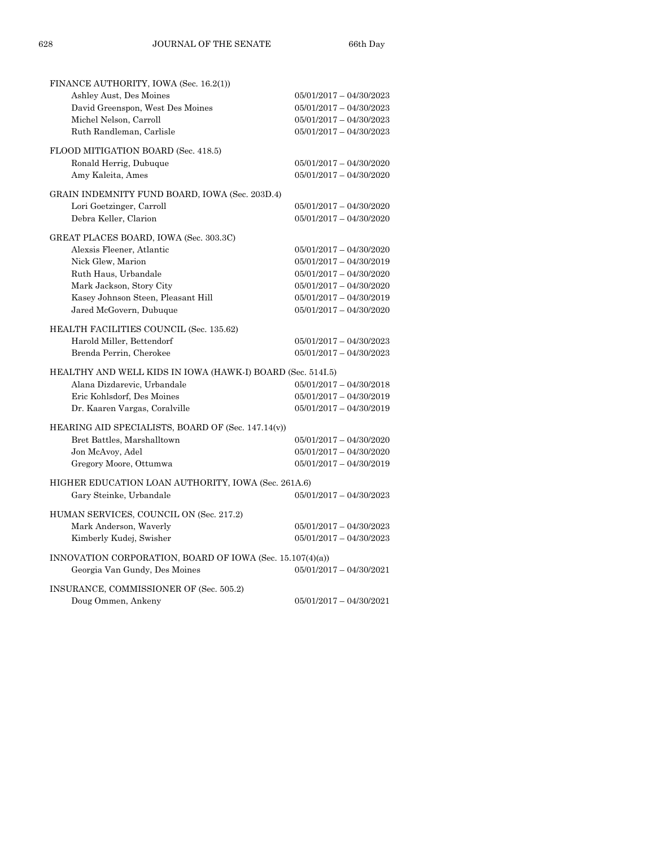| FINANCE AUTHORITY, IOWA (Sec. 16.2(1))                     |                           |
|------------------------------------------------------------|---------------------------|
| Ashley Aust, Des Moines                                    | $05/01/2017 - 04/30/2023$ |
| David Greenspon, West Des Moines                           | $05/01/2017 - 04/30/2023$ |
| Michel Nelson, Carroll                                     | $05/01/2017 - 04/30/2023$ |
| Ruth Randleman, Carlisle                                   | $05/01/2017 - 04/30/2023$ |
| FLOOD MITIGATION BOARD (Sec. 418.5)                        |                           |
| Ronald Herrig, Dubuque                                     | $05/01/2017 - 04/30/2020$ |
| Amy Kaleita, Ames                                          | $05/01/2017 - 04/30/2020$ |
| GRAIN INDEMNITY FUND BOARD, IOWA (Sec. 203D.4)             |                           |
| Lori Goetzinger, Carroll                                   | $05/01/2017 - 04/30/2020$ |
| Debra Keller, Clarion                                      | $05/01/2017 - 04/30/2020$ |
| GREAT PLACES BOARD, IOWA (Sec. 303.3C)                     |                           |
| Alexsis Fleener, Atlantic                                  | $05/01/2017 - 04/30/2020$ |
| Nick Glew, Marion                                          | $05/01/2017 - 04/30/2019$ |
| Ruth Haus, Urbandale                                       | $05/01/2017 - 04/30/2020$ |
|                                                            |                           |
| Mark Jackson, Story City                                   | $05/01/2017 - 04/30/2020$ |
| Kasey Johnson Steen, Pleasant Hill                         | $05/01/2017 - 04/30/2019$ |
| Jared McGovern, Dubuque                                    | $05/01/2017 - 04/30/2020$ |
| HEALTH FACILITIES COUNCIL (Sec. 135.62)                    |                           |
| Harold Miller, Bettendorf                                  | $05/01/2017 - 04/30/2023$ |
| Brenda Perrin, Cherokee                                    | $05/01/2017 - 04/30/2023$ |
| HEALTHY AND WELL KIDS IN IOWA (HAWK-I) BOARD (Sec. 514I.5) |                           |
| Alana Dizdarevic, Urbandale                                | $05/01/2017 - 04/30/2018$ |
| Eric Kohlsdorf, Des Moines                                 | $05/01/2017 - 04/30/2019$ |
| Dr. Kaaren Vargas, Coralville                              | $05/01/2017 - 04/30/2019$ |
| HEARING AID SPECIALISTS, BOARD OF (Sec. 147.14(v))         |                           |
| Bret Battles, Marshalltown                                 | $05/01/2017 - 04/30/2020$ |
| Jon McAvoy, Adel                                           | $05/01/2017 - 04/30/2020$ |
| Gregory Moore, Ottumwa                                     | $05/01/2017 - 04/30/2019$ |
|                                                            |                           |
| HIGHER EDUCATION LOAN AUTHORITY, IOWA (Sec. 261A.6)        |                           |
| Gary Steinke, Urbandale                                    | $05/01/2017 - 04/30/2023$ |
| HUMAN SERVICES, COUNCIL ON (Sec. 217.2)                    |                           |
| Mark Anderson, Waverly                                     | $05/01/2017 - 04/30/2023$ |
| Kimberly Kudej, Swisher                                    | $05/01/2017 - 04/30/2023$ |
| INNOVATION CORPORATION, BOARD OF IOWA (Sec. 15.107(4)(a))  |                           |
| Georgia Van Gundy, Des Moines                              | $05/01/2017 - 04/30/2021$ |
| INSURANCE, COMMISSIONER OF (Sec. 505.2)                    |                           |
| Doug Ommen, Ankeny                                         | $05/01/2017 - 04/30/2021$ |
|                                                            |                           |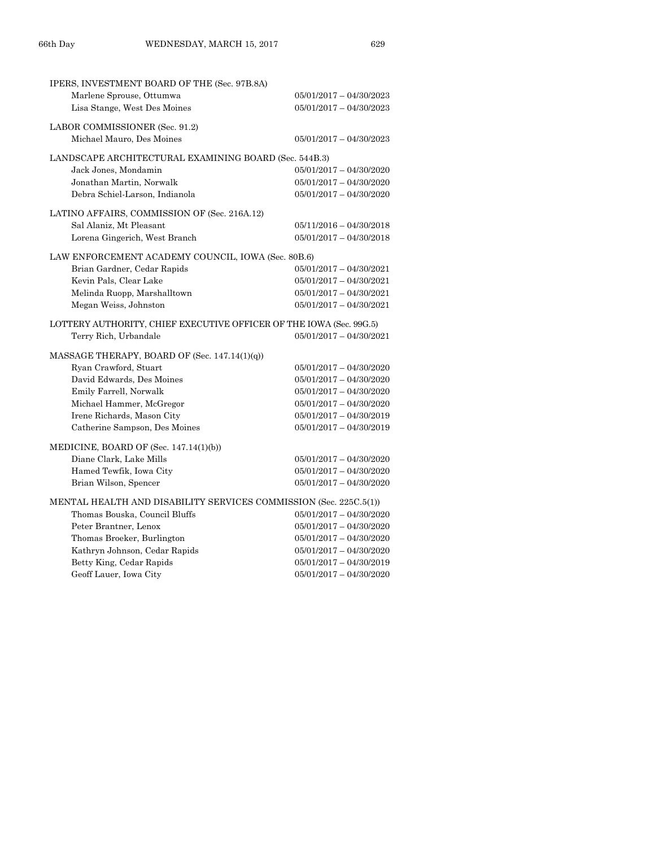| IPERS, INVESTMENT BOARD OF THE (Sec. 97B.8A)                        |                           |  |  |  |
|---------------------------------------------------------------------|---------------------------|--|--|--|
| Marlene Sprouse, Ottumwa                                            | 05/01/2017 - 04/30/2023   |  |  |  |
| Lisa Stange, West Des Moines                                        | $05/01/2017 - 04/30/2023$ |  |  |  |
|                                                                     |                           |  |  |  |
| LABOR COMMISSIONER (Sec. 91.2)                                      |                           |  |  |  |
| Michael Mauro, Des Moines                                           | $05/01/2017 - 04/30/2023$ |  |  |  |
| LANDSCAPE ARCHITECTURAL EXAMINING BOARD (Sec. 544B.3)               |                           |  |  |  |
| Jack Jones, Mondamin                                                | $05/01/2017 - 04/30/2020$ |  |  |  |
| Jonathan Martin, Norwalk                                            | $05/01/2017 - 04/30/2020$ |  |  |  |
| Debra Schiel-Larson, Indianola                                      | $05/01/2017 - 04/30/2020$ |  |  |  |
| LATINO AFFAIRS, COMMISSION OF (Sec. 216A.12)                        |                           |  |  |  |
| Sal Alaniz, Mt Pleasant                                             | $05/11/2016 - 04/30/2018$ |  |  |  |
| Lorena Gingerich, West Branch                                       | $05/01/2017 - 04/30/2018$ |  |  |  |
|                                                                     |                           |  |  |  |
| LAW ENFORCEMENT ACADEMY COUNCIL, IOWA (Sec. 80B.6)                  |                           |  |  |  |
| Brian Gardner, Cedar Rapids                                         | $05/01/2017 - 04/30/2021$ |  |  |  |
| Kevin Pals, Clear Lake                                              | $05/01/2017 - 04/30/2021$ |  |  |  |
| Melinda Ruopp, Marshalltown                                         | $05/01/2017 - 04/30/2021$ |  |  |  |
| Megan Weiss, Johnston                                               | $05/01/2017 - 04/30/2021$ |  |  |  |
| LOTTERY AUTHORITY, CHIEF EXECUTIVE OFFICER OF THE IOWA (Sec. 99G.5) |                           |  |  |  |
| Terry Rich, Urbandale                                               | $05/01/2017 - 04/30/2021$ |  |  |  |
|                                                                     |                           |  |  |  |
| MASSAGE THERAPY, BOARD OF (Sec. 147.14(1)(q))                       |                           |  |  |  |
| Ryan Crawford, Stuart                                               | $05/01/2017 - 04/30/2020$ |  |  |  |
| David Edwards, Des Moines                                           | $05/01/2017 - 04/30/2020$ |  |  |  |
| Emily Farrell, Norwalk                                              | $05/01/2017 - 04/30/2020$ |  |  |  |
| Michael Hammer, McGregor                                            | $05/01/2017 - 04/30/2020$ |  |  |  |
| Irene Richards, Mason City                                          | $05/01/2017 - 04/30/2019$ |  |  |  |
| Catherine Sampson, Des Moines                                       | $05/01/2017 - 04/30/2019$ |  |  |  |
| MEDICINE, BOARD OF (Sec. 147.14(1)(b))                              |                           |  |  |  |
| Diane Clark, Lake Mills                                             | $05/01/2017 - 04/30/2020$ |  |  |  |
| Hamed Tewfik, Iowa City                                             | $05/01/2017 - 04/30/2020$ |  |  |  |
| Brian Wilson, Spencer                                               | $05/01/2017 - 04/30/2020$ |  |  |  |
| MENTAL HEALTH AND DISABILITY SERVICES COMMISSION (Sec. 225C.5(1))   |                           |  |  |  |
| Thomas Bouska, Council Bluffs                                       | $05/01/2017 - 04/30/2020$ |  |  |  |
| Peter Brantner, Lenox                                               | $05/01/2017 - 04/30/2020$ |  |  |  |
| Thomas Broeker, Burlington                                          | $05/01/2017 - 04/30/2020$ |  |  |  |
| Kathryn Johnson, Cedar Rapids                                       | $05/01/2017 - 04/30/2020$ |  |  |  |
| Betty King, Cedar Rapids                                            | $05/01/2017 - 04/30/2019$ |  |  |  |
| Geoff Lauer, Iowa City                                              | 05/01/2017 - 04/30/2020   |  |  |  |
|                                                                     |                           |  |  |  |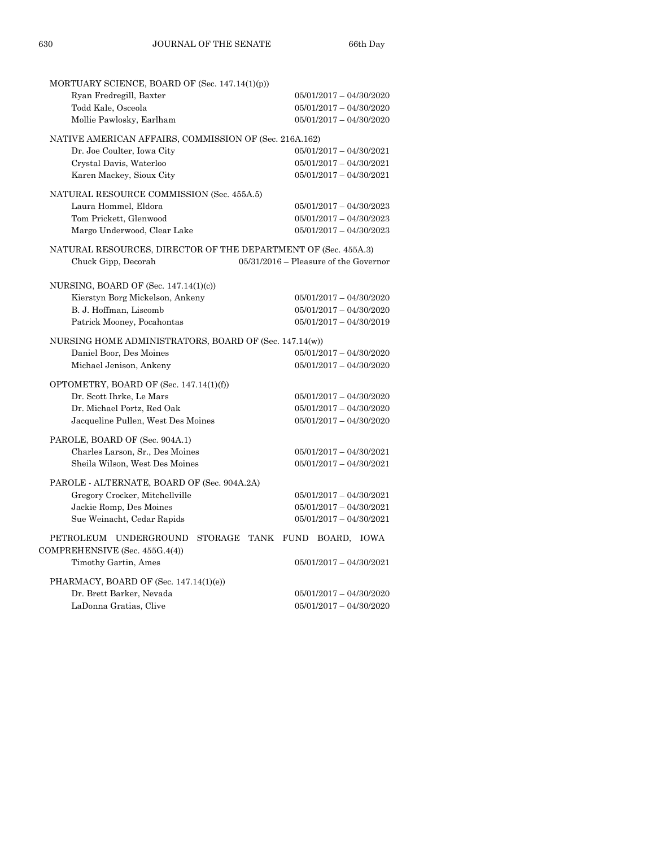| MORTUARY SCIENCE, BOARD OF (Sec. 147.14(1)(p))                                    |                                         |
|-----------------------------------------------------------------------------------|-----------------------------------------|
| Ryan Fredregill, Baxter                                                           | $05/01/2017 - 04/30/2020$               |
| Todd Kale, Osceola                                                                | $05/01/2017 - 04/30/2020$               |
| Mollie Pawlosky, Earlham                                                          | $05/01/2017 - 04/30/2020$               |
|                                                                                   |                                         |
| NATIVE AMERICAN AFFAIRS, COMMISSION OF (Sec. 216A.162)                            |                                         |
| Dr. Joe Coulter, Iowa City                                                        | $05/01/2017 - 04/30/2021$               |
| Crystal Davis, Waterloo                                                           | $05/01/2017 - 04/30/2021$               |
| Karen Mackey, Sioux City                                                          | $05/01/2017 - 04/30/2021$               |
| NATURAL RESOURCE COMMISSION (Sec. 455A.5)                                         |                                         |
| Laura Hommel, Eldora                                                              | 05/01/2017 - 04/30/2023                 |
| Tom Prickett, Glenwood                                                            | 05/01/2017 - 04/30/2023                 |
| Margo Underwood, Clear Lake                                                       | $05/01/2017 - 04/30/2023$               |
| NATURAL RESOURCES, DIRECTOR OF THE DEPARTMENT OF (Sec. 455A.3)                    |                                         |
| Chuck Gipp, Decorah                                                               | $05/31/2016$ – Pleasure of the Governor |
|                                                                                   |                                         |
| NURSING, BOARD OF (Sec. $147.14(1)(c)$ )                                          |                                         |
| Kierstyn Borg Mickelson, Ankeny                                                   | $05/01/2017 - 04/30/2020$               |
| B. J. Hoffman, Liscomb                                                            | $05/01/2017 - 04/30/2020$               |
| Patrick Mooney, Pocahontas                                                        | $05/01/2017 - 04/30/2019$               |
|                                                                                   |                                         |
| NURSING HOME ADMINISTRATORS, BOARD OF (Sec. 147.14(w))<br>Daniel Boor, Des Moines | $05/01/2017 - 04/30/2020$               |
| Michael Jenison, Ankeny                                                           | $05/01/2017 - 04/30/2020$               |
|                                                                                   |                                         |
| OPTOMETRY, BOARD OF (Sec. 147.14(1)(f))                                           |                                         |
| Dr. Scott Ihrke, Le Mars                                                          | $05/01/2017 - 04/30/2020$               |
| Dr. Michael Portz, Red Oak                                                        | $05/01/2017 - 04/30/2020$               |
| Jacqueline Pullen, West Des Moines                                                | $05/01/2017 - 04/30/2020$               |
| PAROLE, BOARD OF (Sec. 904A.1)                                                    |                                         |
| Charles Larson, Sr., Des Moines                                                   | 05/01/2017 - 04/30/2021                 |
| Sheila Wilson, West Des Moines                                                    | $05/01/2017 - 04/30/2021$               |
|                                                                                   |                                         |
| PAROLE - ALTERNATE, BOARD OF (Sec. 904A.2A)                                       |                                         |
| Gregory Crocker, Mitchellville                                                    | $05/01/2017 - 04/30/2021$               |
| Jackie Romp, Des Moines                                                           | $05/01/2017 - 04/30/2021$               |
| Sue Weinacht, Cedar Rapids                                                        | $05/01/2017 - 04/30/2021$               |
| PETROLEUM UNDERGROUND                                                             | STORAGE TANK FUND<br>BOARD, IOWA        |
| COMPREHENSIVE (Sec. 455G.4(4))                                                    |                                         |
| Timothy Gartin, Ames                                                              | $05/01/2017 - 04/30/2021$               |
| PHARMACY, BOARD OF (Sec. 147.14(1)(e))                                            |                                         |
| Dr. Brett Barker, Nevada                                                          | $05/01/2017 - 04/30/2020$               |
| LaDonna Gratias, Clive                                                            | 05/01/2017 - 04/30/2020                 |
|                                                                                   |                                         |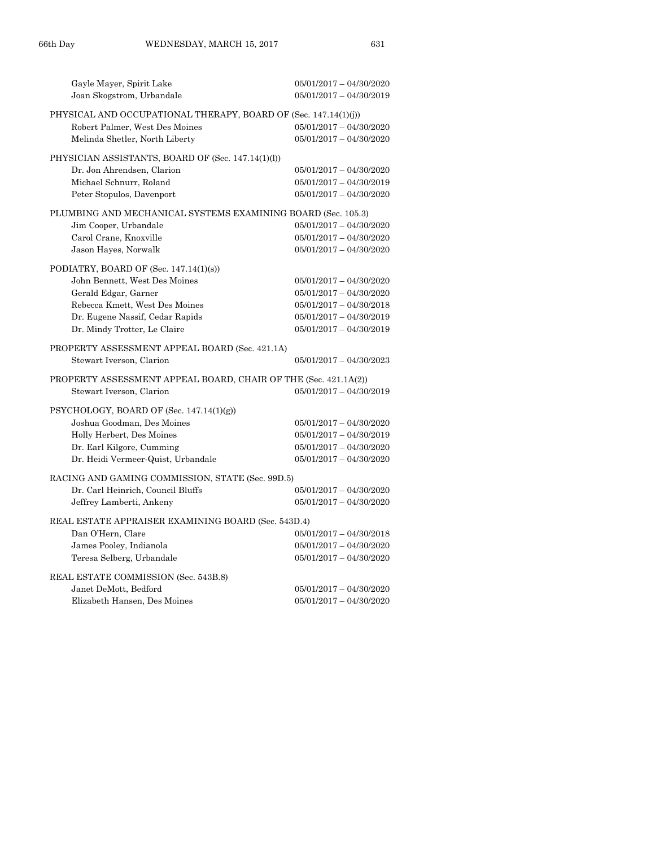| Gayle Mayer, Spirit Lake<br>Joan Skogstrom, Urbandale           | $05/01/2017 - 04/30/2020$<br>$05/01/2017 - 04/30/2019$ |
|-----------------------------------------------------------------|--------------------------------------------------------|
| PHYSICAL AND OCCUPATIONAL THERAPY, BOARD OF (Sec. 147.14(1)(j)) |                                                        |
| Robert Palmer, West Des Moines                                  | $05/01/2017 - 04/30/2020$                              |
| Melinda Shetler, North Liberty                                  | $05/01/2017 - 04/30/2020$                              |
| PHYSICIAN ASSISTANTS, BOARD OF (Sec. 147.14(1)(l))              |                                                        |
| Dr. Jon Ahrendsen, Clarion                                      | $05/01/2017 - 04/30/2020$                              |
| Michael Schnurr, Roland                                         | $05/01/2017 - 04/30/2019$                              |
| Peter Stopulos, Davenport                                       | $05/01/2017 - 04/30/2020$                              |
| PLUMBING AND MECHANICAL SYSTEMS EXAMINING BOARD (Sec. 105.3)    |                                                        |
| Jim Cooper, Urbandale                                           | $05/01/2017 - 04/30/2020$                              |
| Carol Crane, Knoxville                                          | $05/01/2017 - 04/30/2020$                              |
| Jason Hayes, Norwalk                                            | $05/01/2017 - 04/30/2020$                              |
| PODIATRY, BOARD OF (Sec. 147.14(1)(s))                          |                                                        |
| John Bennett, West Des Moines                                   | $05/01/2017 - 04/30/2020$                              |
| Gerald Edgar, Garner                                            | 05/01/2017 - 04/30/2020                                |
| Rebecca Kmett, West Des Moines                                  | $05/01/2017 - 04/30/2018$                              |
| Dr. Eugene Nassif, Cedar Rapids                                 | 05/01/2017 - 04/30/2019                                |
| Dr. Mindy Trotter, Le Claire                                    | $05/01/2017 - 04/30/2019$                              |
|                                                                 |                                                        |
| PROPERTY ASSESSMENT APPEAL BOARD (Sec. 421.1A)                  |                                                        |
| Stewart Iverson, Clarion                                        | $05/01/2017 - 04/30/2023$                              |
| PROPERTY ASSESSMENT APPEAL BOARD, CHAIR OF THE (Sec. 421.1A(2)) |                                                        |
| Stewart Iverson, Clarion                                        | $05/01/2017 - 04/30/2019$                              |
| $PSYCHOLOGY$ , BOARD OF (Sec. 147.14(1)(g))                     |                                                        |
| Joshua Goodman, Des Moines                                      | $05/01/2017 - 04/30/2020$                              |
| Holly Herbert, Des Moines                                       | 05/01/2017 - 04/30/2019                                |
| Dr. Earl Kilgore, Cumming                                       | $05/01/2017 - 04/30/2020$                              |
| Dr. Heidi Vermeer-Quist, Urbandale                              | $05/01/2017 - 04/30/2020$                              |
| RACING AND GAMING COMMISSION, STATE (Sec. 99D.5)                |                                                        |
| Dr. Carl Heinrich, Council Bluffs                               | $05/01/2017 - 04/30/2020$                              |
| Jeffrey Lamberti, Ankeny                                        | $05/01/2017 - 04/30/2020$                              |
| REAL ESTATE APPRAISER EXAMINING BOARD (Sec. 543D.4)             |                                                        |
| Dan O'Hern, Clare                                               | $05/01/2017 - 04/30/2018$                              |
| James Pooley, Indianola                                         | $05/01/2017 - 04/30/2020$                              |
| Teresa Selberg, Urbandale                                       | $05/01/2017 - 04/30/2020$                              |
| REAL ESTATE COMMISSION (Sec. 543B.8)                            |                                                        |
| Janet DeMott, Bedford                                           | $05/01/2017 - 04/30/2020$<br>$05/01/2017 - 04/30/2020$ |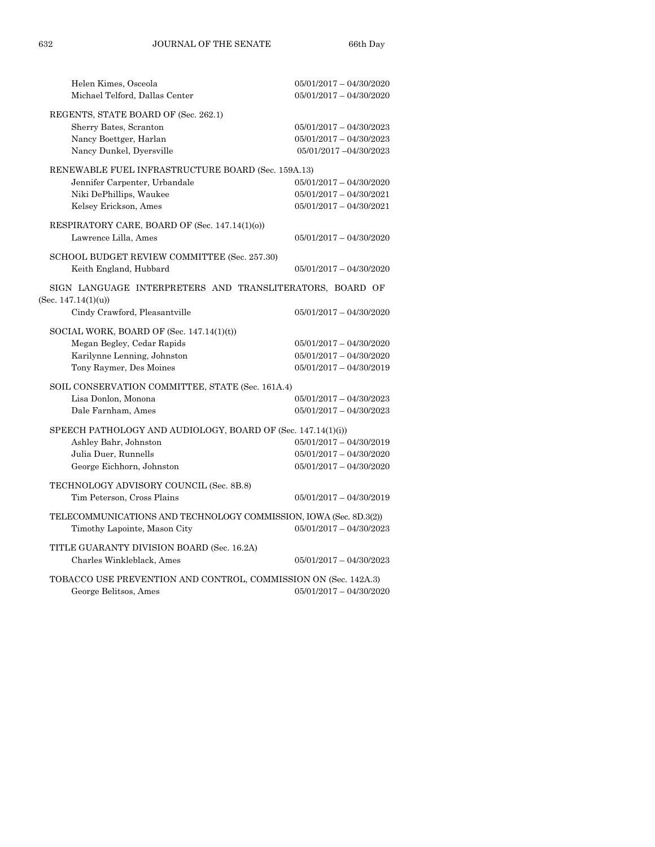| Helen Kimes, Osceola                                                               | $05/01/2017 - 04/30/2020$ |
|------------------------------------------------------------------------------------|---------------------------|
| Michael Telford, Dallas Center                                                     | $05/01/2017 - 04/30/2020$ |
| REGENTS, STATE BOARD OF (Sec. 262.1)                                               |                           |
| Sherry Bates, Scranton                                                             | $05/01/2017 - 04/30/2023$ |
| Nancy Boettger, Harlan                                                             | $05/01/2017 - 04/30/2023$ |
| Nancy Dunkel, Dyersville                                                           | 05/01/2017 -04/30/2023    |
| RENEWABLE FUEL INFRASTRUCTURE BOARD (Sec. 159A.13)                                 |                           |
| Jennifer Carpenter, Urbandale                                                      | $05/01/2017 - 04/30/2020$ |
| Niki DePhillips, Waukee                                                            | $05/01/2017 - 04/30/2021$ |
| Kelsey Erickson, Ames                                                              | $05/01/2017 - 04/30/2021$ |
|                                                                                    |                           |
| RESPIRATORY CARE, BOARD OF (Sec. 147.14(1)(o))                                     |                           |
| Lawrence Lilla, Ames                                                               | $05/01/2017 - 04/30/2020$ |
| SCHOOL BUDGET REVIEW COMMITTEE (Sec. 257.30)                                       |                           |
| Keith England, Hubbard                                                             | $05/01/2017 - 04/30/2020$ |
|                                                                                    |                           |
| SIGN LANGUAGE INTERPRETERS AND TRANSLITERATORS, BOARD OF<br>(Sec. $147.14(1)(u)$ ) |                           |
| Cindy Crawford, Pleasantville                                                      | $05/01/2017 - 04/30/2020$ |
|                                                                                    |                           |
| SOCIAL WORK, BOARD OF (Sec. 147.14(1)(t))                                          |                           |
| Megan Begley, Cedar Rapids                                                         | $05/01/2017 - 04/30/2020$ |
| Karilynne Lenning, Johnston                                                        | $05/01/2017 - 04/30/2020$ |
| Tony Raymer, Des Moines                                                            | $05/01/2017 - 04/30/2019$ |
| SOIL CONSERVATION COMMITTEE, STATE (Sec. 161A.4)                                   |                           |
| Lisa Donlon, Monona                                                                | $05/01/2017 - 04/30/2023$ |
| Dale Farnham, Ames                                                                 | $05/01/2017 - 04/30/2023$ |
|                                                                                    |                           |
| SPEECH PATHOLOGY AND AUDIOLOGY, BOARD OF (Sec. 147.14(1)(i))                       |                           |
| Ashley Bahr, Johnston                                                              | $05/01/2017 - 04/30/2019$ |
| Julia Duer, Runnells                                                               | $05/01/2017 - 04/30/2020$ |
| George Eichhorn, Johnston                                                          | $05/01/2017 - 04/30/2020$ |
| TECHNOLOGY ADVISORY COUNCIL (Sec. 8B.8)                                            |                           |
| Tim Peterson, Cross Plains                                                         | 05/01/2017 - 04/30/2019   |
| TELECOMMUNICATIONS AND TECHNOLOGY COMMISSION, IOWA (Sec. 8D.3(2))                  |                           |
| Timothy Lapointe, Mason City                                                       | $05/01/2017 - 04/30/2023$ |
|                                                                                    |                           |
| TITLE GUARANTY DIVISION BOARD (Sec. 16.2A)                                         |                           |
| Charles Winkleblack, Ames                                                          | $05/01/2017 - 04/30/2023$ |
| TOBACCO USE PREVENTION AND CONTROL, COMMISSION ON (Sec. 142A.3)                    |                           |
| George Belitsos, Ames                                                              | $05/01/2017 - 04/30/2020$ |
|                                                                                    |                           |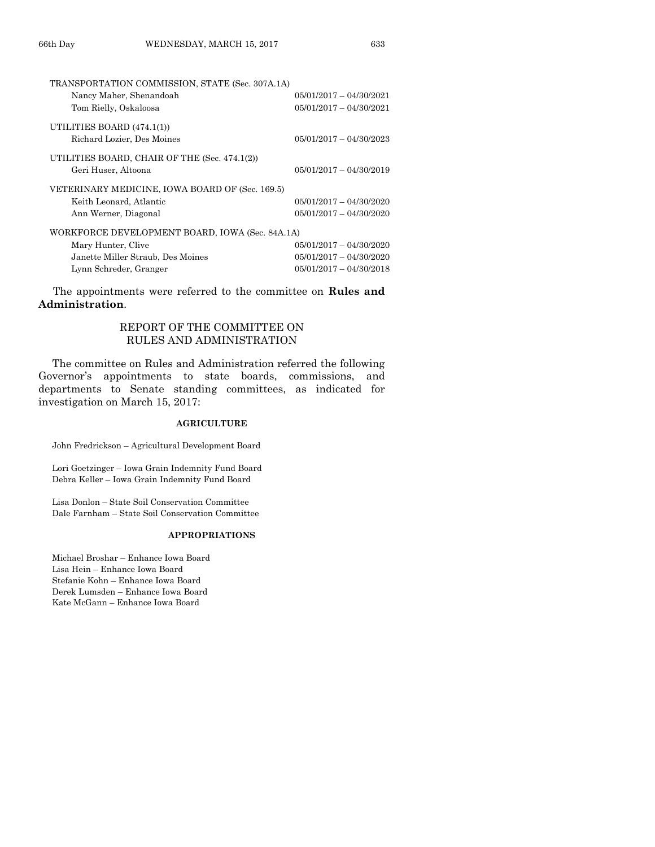| TRANSPORTATION COMMISSION, STATE (Sec. 307A.1A) |                           |
|-------------------------------------------------|---------------------------|
| Nancy Maher, Shenandoah                         | $05/01/2017 - 04/30/2021$ |
| Tom Rielly, Oskaloosa                           | $05/01/2017 - 04/30/2021$ |
| UTILITIES BOARD (474.1(1))                      |                           |
| Richard Lozier, Des Moines                      | $05/01/2017 - 04/30/2023$ |
| UTILITIES BOARD, CHAIR OF THE (Sec. 474.1(2))   |                           |
| Geri Huser, Altoona                             | $05/01/2017 - 04/30/2019$ |
| VETERINARY MEDICINE, IOWA BOARD OF (Sec. 169.5) |                           |
| Keith Leonard, Atlantic                         | $05/01/2017 - 04/30/2020$ |
| Ann Werner, Diagonal                            | $05/01/2017 - 04/30/2020$ |
| WORKFORCE DEVELOPMENT BOARD, IOWA (Sec. 84A.1A) |                           |
| Mary Hunter, Clive                              | $05/01/2017 - 04/30/2020$ |
| Janette Miller Straub, Des Moines               | $05/01/2017 - 04/30/2020$ |
| Lynn Schreder, Granger                          | $05/01/2017 - 04/30/2018$ |
|                                                 |                           |

The appointments were referred to the committee on **Rules and Administration**.

## REPORT OF THE COMMITTEE ON RULES AND ADMINISTRATION

The committee on Rules and Administration referred the following Governor's appointments to state boards, commissions, and departments to Senate standing committees, as indicated for investigation on March 15, 2017:

## **AGRICULTURE**

John Fredrickson – Agricultural Development Board

Lori Goetzinger – Iowa Grain Indemnity Fund Board Debra Keller – Iowa Grain Indemnity Fund Board

Lisa Donlon – State Soil Conservation Committee Dale Farnham – State Soil Conservation Committee

#### **APPROPRIATIONS**

Michael Broshar – Enhance Iowa Board Lisa Hein – Enhance Iowa Board Stefanie Kohn – Enhance Iowa Board Derek Lumsden – Enhance Iowa Board Kate McGann – Enhance Iowa Board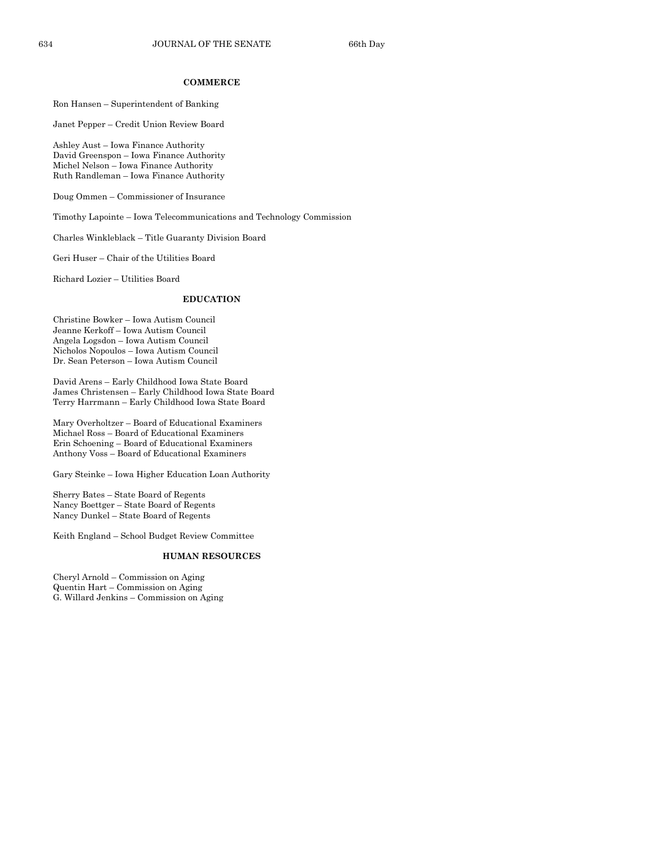#### **COMMERCE**

#### Ron Hansen – Superintendent of Banking

Janet Pepper – Credit Union Review Board

Ashley Aust – Iowa Finance Authority David Greenspon – Iowa Finance Authority Michel Nelson – Iowa Finance Authority Ruth Randleman – Iowa Finance Authority

Doug Ommen – Commissioner of Insurance

Timothy Lapointe – Iowa Telecommunications and Technology Commission

Charles Winkleblack – Title Guaranty Division Board

Geri Huser – Chair of the Utilities Board

Richard Lozier – Utilities Board

#### **EDUCATION**

Christine Bowker – Iowa Autism Council Jeanne Kerkoff – Iowa Autism Council Angela Logsdon – Iowa Autism Council Nicholos Nopoulos – Iowa Autism Council Dr. Sean Peterson – Iowa Autism Council

David Arens – Early Childhood Iowa State Board James Christensen – Early Childhood Iowa State Board Terry Harrmann – Early Childhood Iowa State Board

Mary Overholtzer – Board of Educational Examiners Michael Ross – Board of Educational Examiners Erin Schoening – Board of Educational Examiners Anthony Voss – Board of Educational Examiners

Gary Steinke – Iowa Higher Education Loan Authority

Sherry Bates – State Board of Regents Nancy Boettger – State Board of Regents Nancy Dunkel – State Board of Regents

Keith England – School Budget Review Committee

#### **HUMAN RESOURCES**

Cheryl Arnold – Commission on Aging Quentin Hart – Commission on Aging G. Willard Jenkins – Commission on Aging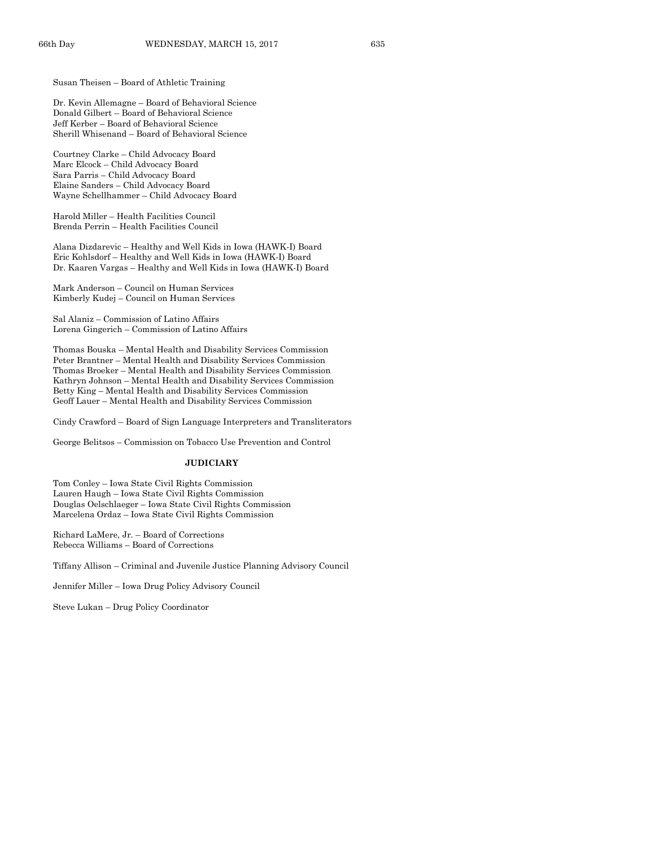Susan Theisen – Board of Athletic Training

Dr. Kevin Allemagne – Board of Behavioral Science Donald Gilbert – Board of Behavioral Science Jeff Kerber – Board of Behavioral Science Sherill Whisenand – Board of Behavioral Science

Courtney Clarke – Child Advocacy Board Marc Elcock – Child Advocacy Board Sara Parris – Child Advocacy Board Elaine Sanders – Child Advocacy Board Wayne Schellhammer – Child Advocacy Board

Harold Miller – Health Facilities Council Brenda Perrin – Health Facilities Council

Alana Dizdarevic – Healthy and Well Kids in Iowa (HAWK-I) Board Eric Kohlsdorf – Healthy and Well Kids in Iowa (HAWK-I) Board Dr. Kaaren Vargas – Healthy and Well Kids in Iowa (HAWK-I) Board

Mark Anderson – Council on Human Services Kimberly Kudej – Council on Human Services

Sal Alaniz – Commission of Latino Affairs Lorena Gingerich – Commission of Latino Affairs

Thomas Bouska – Mental Health and Disability Services Commission Peter Brantner – Mental Health and Disability Services Commission Thomas Broeker – Mental Health and Disability Services Commission Kathryn Johnson – Mental Health and Disability Services Commission Betty King – Mental Health and Disability Services Commission Geoff Lauer – Mental Health and Disability Services Commission

Cindy Crawford – Board of Sign Language Interpreters and Transliterators

George Belitsos – Commission on Tobacco Use Prevention and Control

#### **JUDICIARY**

Tom Conley – Iowa State Civil Rights Commission Lauren Haugh – Iowa State Civil Rights Commission Douglas Oelschlaeger – Iowa State Civil Rights Commission Marcelena Ordaz – Iowa State Civil Rights Commission

Richard LaMere, Jr. – Board of Corrections Rebecca Williams – Board of Corrections

Tiffany Allison – Criminal and Juvenile Justice Planning Advisory Council

Jennifer Miller – Iowa Drug Policy Advisory Council

Steve Lukan – Drug Policy Coordinator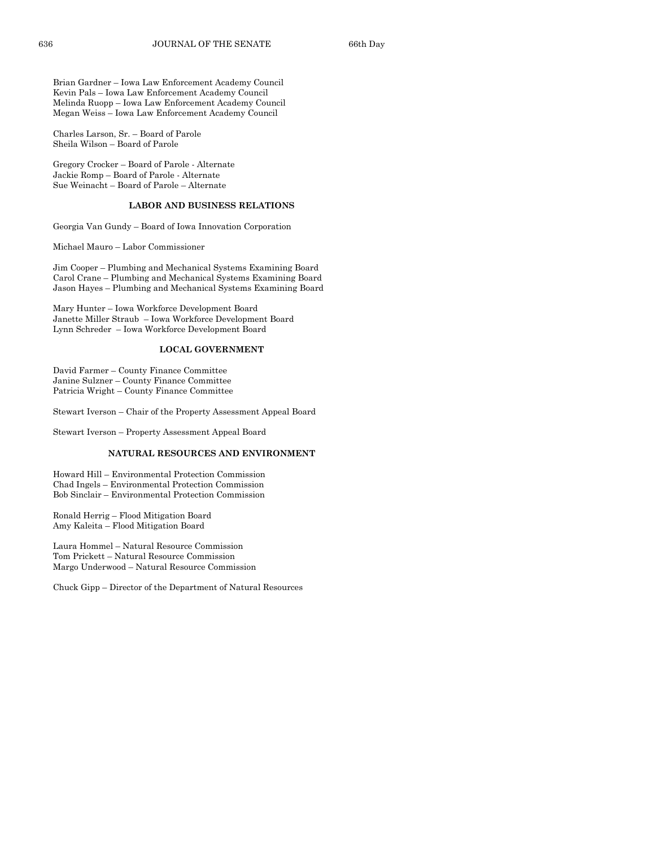Brian Gardner – Iowa Law Enforcement Academy Council Kevin Pals – Iowa Law Enforcement Academy Council Melinda Ruopp – Iowa Law Enforcement Academy Council Megan Weiss – Iowa Law Enforcement Academy Council

Charles Larson, Sr. – Board of Parole Sheila Wilson – Board of Parole

Gregory Crocker – Board of Parole - Alternate Jackie Romp – Board of Parole - Alternate Sue Weinacht – Board of Parole – Alternate

## **LABOR AND BUSINESS RELATIONS**

Georgia Van Gundy – Board of Iowa Innovation Corporation

Michael Mauro – Labor Commissioner

Jim Cooper – Plumbing and Mechanical Systems Examining Board Carol Crane – Plumbing and Mechanical Systems Examining Board Jason Hayes – Plumbing and Mechanical Systems Examining Board

Mary Hunter – Iowa Workforce Development Board Janette Miller Straub – Iowa Workforce Development Board Lynn Schreder – Iowa Workforce Development Board

#### **LOCAL GOVERNMENT**

David Farmer – County Finance Committee Janine Sulzner – County Finance Committee Patricia Wright – County Finance Committee

Stewart Iverson – Chair of the Property Assessment Appeal Board

Stewart Iverson – Property Assessment Appeal Board

#### **NATURAL RESOURCES AND ENVIRONMENT**

Howard Hill – Environmental Protection Commission Chad Ingels – Environmental Protection Commission Bob Sinclair – Environmental Protection Commission

Ronald Herrig – Flood Mitigation Board Amy Kaleita – Flood Mitigation Board

Laura Hommel – Natural Resource Commission Tom Prickett – Natural Resource Commission Margo Underwood – Natural Resource Commission

Chuck Gipp – Director of the Department of Natural Resources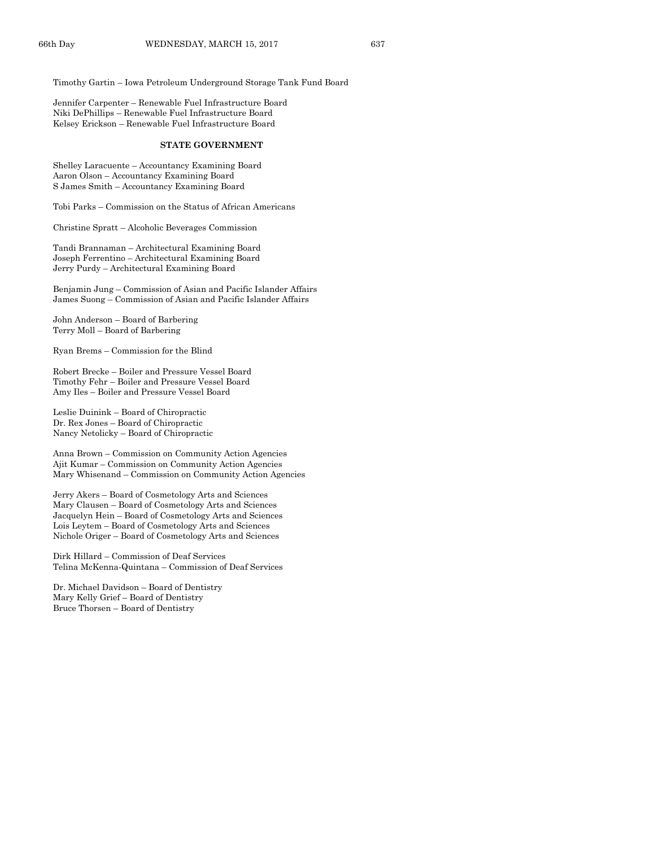Timothy Gartin – Iowa Petroleum Underground Storage Tank Fund Board

Jennifer Carpenter – Renewable Fuel Infrastructure Board Niki DePhillips – Renewable Fuel Infrastructure Board Kelsey Erickson – Renewable Fuel Infrastructure Board

#### **STATE GOVERNMENT**

Shelley Laracuente – Accountancy Examining Board Aaron Olson – Accountancy Examining Board S James Smith – Accountancy Examining Board

Tobi Parks – Commission on the Status of African Americans

Christine Spratt – Alcoholic Beverages Commission

Tandi Brannaman – Architectural Examining Board Joseph Ferrentino – Architectural Examining Board Jerry Purdy – Architectural Examining Board

Benjamin Jung – Commission of Asian and Pacific Islander Affairs James Suong – Commission of Asian and Pacific Islander Affairs

John Anderson – Board of Barbering Terry Moll – Board of Barbering

Ryan Brems – Commission for the Blind

Robert Brecke – Boiler and Pressure Vessel Board Timothy Fehr – Boiler and Pressure Vessel Board Amy Iles – Boiler and Pressure Vessel Board

Leslie Duinink – Board of Chiropractic Dr. Rex Jones – Board of Chiropractic Nancy Netolicky – Board of Chiropractic

Anna Brown – Commission on Community Action Agencies Ajit Kumar – Commission on Community Action Agencies Mary Whisenand – Commission on Community Action Agencies

Jerry Akers – Board of Cosmetology Arts and Sciences Mary Clausen – Board of Cosmetology Arts and Sciences Jacquelyn Hein – Board of Cosmetology Arts and Sciences Lois Leytem – Board of Cosmetology Arts and Sciences Nichole Origer – Board of Cosmetology Arts and Sciences

Dirk Hillard – Commission of Deaf Services Telina McKenna-Quintana – Commission of Deaf Services

Dr. Michael Davidson – Board of Dentistry Mary Kelly Grief – Board of Dentistry Bruce Thorsen – Board of Dentistry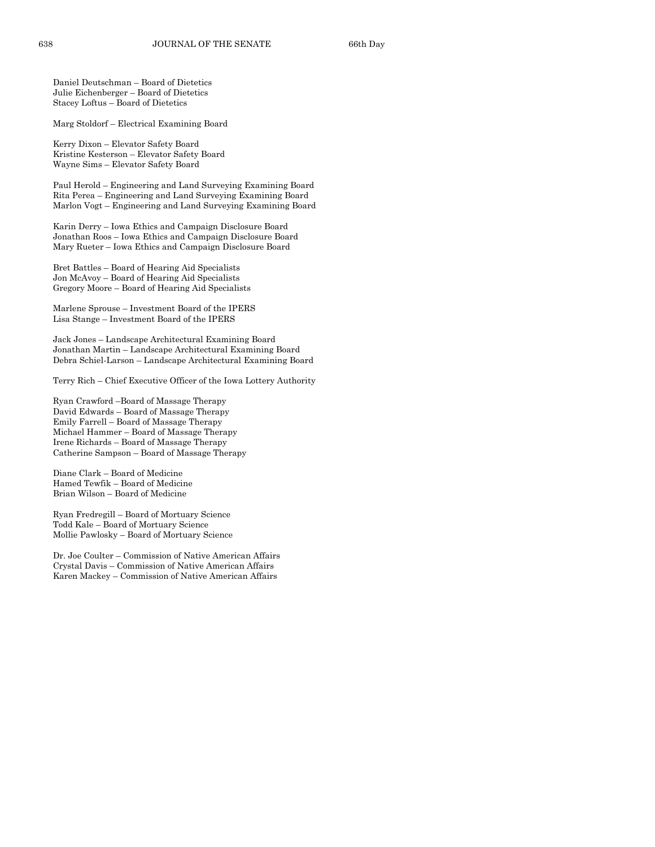Daniel Deutschman – Board of Dietetics Julie Eichenberger – Board of Dietetics Stacey Loftus – Board of Dietetics

Marg Stoldorf – Electrical Examining Board

Kerry Dixon – Elevator Safety Board Kristine Kesterson – Elevator Safety Board Wayne Sims – Elevator Safety Board

Paul Herold – Engineering and Land Surveying Examining Board Rita Perea – Engineering and Land Surveying Examining Board Marlon Vogt – Engineering and Land Surveying Examining Board

Karin Derry – Iowa Ethics and Campaign Disclosure Board Jonathan Roos – Iowa Ethics and Campaign Disclosure Board Mary Rueter – Iowa Ethics and Campaign Disclosure Board

Bret Battles – Board of Hearing Aid Specialists Jon McAvoy – Board of Hearing Aid Specialists Gregory Moore – Board of Hearing Aid Specialists

Marlene Sprouse – Investment Board of the IPERS Lisa Stange – Investment Board of the IPERS

Jack Jones – Landscape Architectural Examining Board Jonathan Martin – Landscape Architectural Examining Board Debra Schiel-Larson – Landscape Architectural Examining Board

Terry Rich – Chief Executive Officer of the Iowa Lottery Authority

Ryan Crawford –Board of Massage Therapy David Edwards – Board of Massage Therapy Emily Farrell – Board of Massage Therapy Michael Hammer – Board of Massage Therapy Irene Richards – Board of Massage Therapy Catherine Sampson – Board of Massage Therapy

Diane Clark – Board of Medicine Hamed Tewfik – Board of Medicine Brian Wilson – Board of Medicine

Ryan Fredregill – Board of Mortuary Science Todd Kale – Board of Mortuary Science Mollie Pawlosky – Board of Mortuary Science

Dr. Joe Coulter – Commission of Native American Affairs Crystal Davis – Commission of Native American Affairs Karen Mackey – Commission of Native American Affairs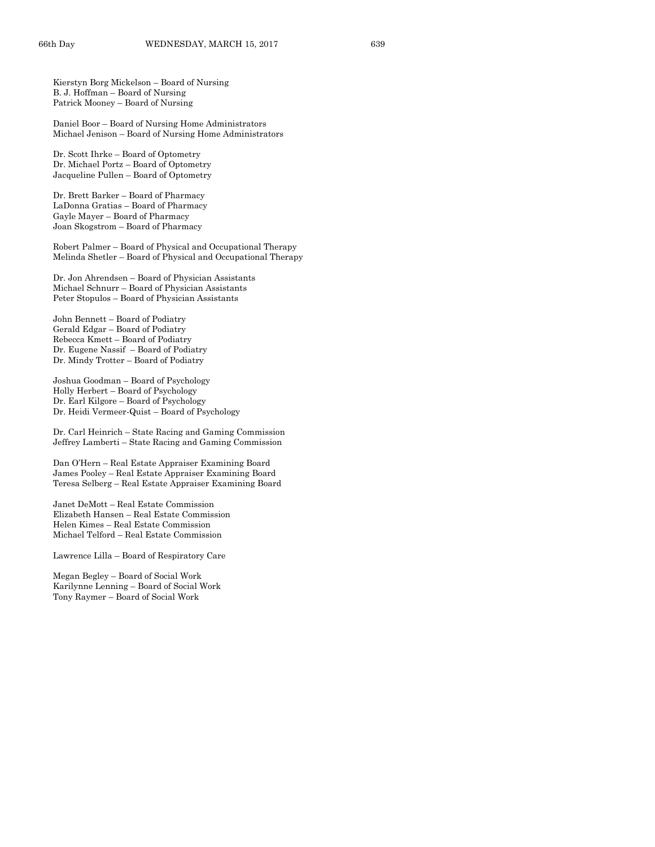Kierstyn Borg Mickelson – Board of Nursing B. J. Hoffman – Board of Nursing Patrick Mooney – Board of Nursing

Daniel Boor – Board of Nursing Home Administrators Michael Jenison – Board of Nursing Home Administrators

Dr. Scott Ihrke – Board of Optometry Dr. Michael Portz – Board of Optometry Jacqueline Pullen – Board of Optometry

Dr. Brett Barker – Board of Pharmacy LaDonna Gratias – Board of Pharmacy Gayle Mayer – Board of Pharmacy Joan Skogstrom – Board of Pharmacy

Robert Palmer – Board of Physical and Occupational Therapy Melinda Shetler – Board of Physical and Occupational Therapy

Dr. Jon Ahrendsen – Board of Physician Assistants Michael Schnurr – Board of Physician Assistants Peter Stopulos – Board of Physician Assistants

John Bennett – Board of Podiatry Gerald Edgar – Board of Podiatry Rebecca Kmett – Board of Podiatry Dr. Eugene Nassif – Board of Podiatry Dr. Mindy Trotter – Board of Podiatry

Joshua Goodman – Board of Psychology Holly Herbert – Board of Psychology Dr. Earl Kilgore – Board of Psychology Dr. Heidi Vermeer-Quist – Board of Psychology

Dr. Carl Heinrich – State Racing and Gaming Commission Jeffrey Lamberti – State Racing and Gaming Commission

Dan O'Hern – Real Estate Appraiser Examining Board James Pooley – Real Estate Appraiser Examining Board Teresa Selberg – Real Estate Appraiser Examining Board

Janet DeMott – Real Estate Commission Elizabeth Hansen – Real Estate Commission Helen Kimes – Real Estate Commission Michael Telford – Real Estate Commission

Lawrence Lilla – Board of Respiratory Care

Megan Begley – Board of Social Work Karilynne Lenning – Board of Social Work Tony Raymer – Board of Social Work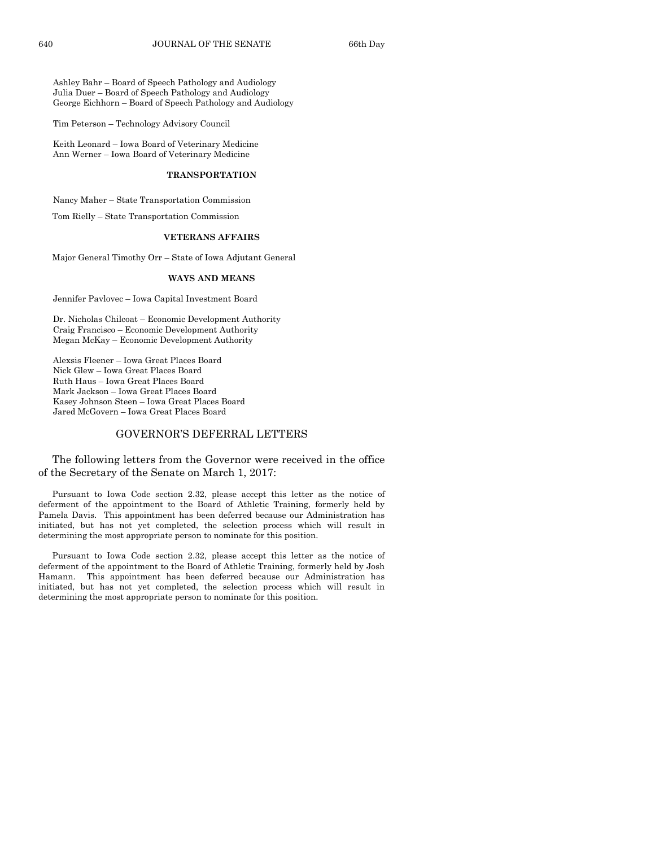Ashley Bahr – Board of Speech Pathology and Audiology Julia Duer – Board of Speech Pathology and Audiology George Eichhorn – Board of Speech Pathology and Audiology

Tim Peterson – Technology Advisory Council

Keith Leonard – Iowa Board of Veterinary Medicine Ann Werner – Iowa Board of Veterinary Medicine

#### **TRANSPORTATION**

Nancy Maher – State Transportation Commission

Tom Rielly – State Transportation Commission

#### **VETERANS AFFAIRS**

Major General Timothy Orr – State of Iowa Adjutant General

#### **WAYS AND MEANS**

Jennifer Pavlovec – Iowa Capital Investment Board

Dr. Nicholas Chilcoat – Economic Development Authority Craig Francisco – Economic Development Authority Megan McKay – Economic Development Authority

Alexsis Fleener – Iowa Great Places Board Nick Glew – Iowa Great Places Board Ruth Haus – Iowa Great Places Board Mark Jackson – Iowa Great Places Board Kasey Johnson Steen – Iowa Great Places Board Jared McGovern – Iowa Great Places Board

## GOVERNOR'S DEFERRAL LETTERS

The following letters from the Governor were received in the office of the Secretary of the Senate on March 1, 2017:

Pursuant to Iowa Code section 2.32, please accept this letter as the notice of deferment of the appointment to the Board of Athletic Training, formerly held by Pamela Davis. This appointment has been deferred because our Administration has initiated, but has not yet completed, the selection process which will result in determining the most appropriate person to nominate for this position.

Pursuant to Iowa Code section 2.32, please accept this letter as the notice of deferment of the appointment to the Board of Athletic Training, formerly held by Josh Hamann. This appointment has been deferred because our Administration has initiated, but has not yet completed, the selection process which will result in determining the most appropriate person to nominate for this position.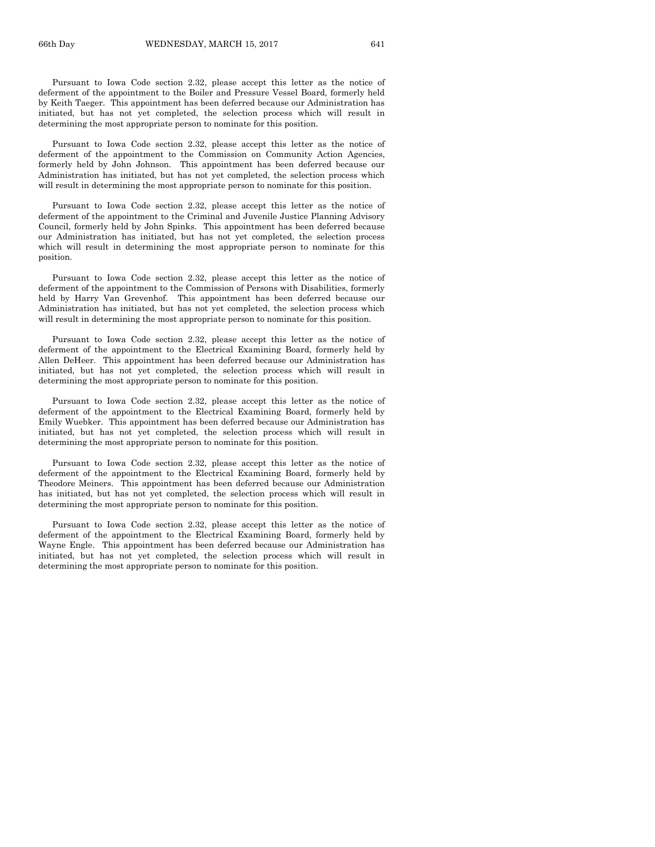Pursuant to Iowa Code section 2.32, please accept this letter as the notice of deferment of the appointment to the Boiler and Pressure Vessel Board, formerly held by Keith Taeger. This appointment has been deferred because our Administration has initiated, but has not yet completed, the selection process which will result in determining the most appropriate person to nominate for this position.

Pursuant to Iowa Code section 2.32, please accept this letter as the notice of deferment of the appointment to the Commission on Community Action Agencies, formerly held by John Johnson. This appointment has been deferred because our Administration has initiated, but has not yet completed, the selection process which will result in determining the most appropriate person to nominate for this position.

Pursuant to Iowa Code section 2.32, please accept this letter as the notice of deferment of the appointment to the Criminal and Juvenile Justice Planning Advisory Council, formerly held by John Spinks. This appointment has been deferred because our Administration has initiated, but has not yet completed, the selection process which will result in determining the most appropriate person to nominate for this position.

Pursuant to Iowa Code section 2.32, please accept this letter as the notice of deferment of the appointment to the Commission of Persons with Disabilities, formerly held by Harry Van Grevenhof. This appointment has been deferred because our Administration has initiated, but has not yet completed, the selection process which will result in determining the most appropriate person to nominate for this position.

Pursuant to Iowa Code section 2.32, please accept this letter as the notice of deferment of the appointment to the Electrical Examining Board, formerly held by Allen DeHeer. This appointment has been deferred because our Administration has initiated, but has not yet completed, the selection process which will result in determining the most appropriate person to nominate for this position.

Pursuant to Iowa Code section 2.32, please accept this letter as the notice of deferment of the appointment to the Electrical Examining Board, formerly held by Emily Wuebker. This appointment has been deferred because our Administration has initiated, but has not yet completed, the selection process which will result in determining the most appropriate person to nominate for this position.

Pursuant to Iowa Code section 2.32, please accept this letter as the notice of deferment of the appointment to the Electrical Examining Board, formerly held by Theodore Meiners. This appointment has been deferred because our Administration has initiated, but has not yet completed, the selection process which will result in determining the most appropriate person to nominate for this position.

Pursuant to Iowa Code section 2.32, please accept this letter as the notice of deferment of the appointment to the Electrical Examining Board, formerly held by Wayne Engle. This appointment has been deferred because our Administration has initiated, but has not yet completed, the selection process which will result in determining the most appropriate person to nominate for this position.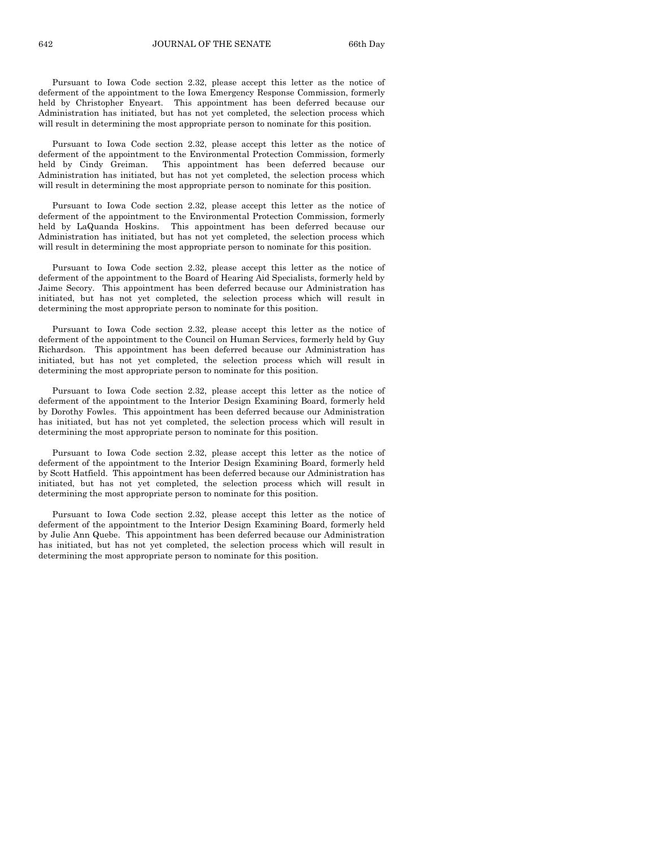Pursuant to Iowa Code section 2.32, please accept this letter as the notice of deferment of the appointment to the Iowa Emergency Response Commission, formerly held by Christopher Enyeart. This appointment has been deferred because our Administration has initiated, but has not yet completed, the selection process which will result in determining the most appropriate person to nominate for this position.

Pursuant to Iowa Code section 2.32, please accept this letter as the notice of deferment of the appointment to the Environmental Protection Commission, formerly held by Cindy Greiman. This appointment has been deferred because our Administration has initiated, but has not yet completed, the selection process which will result in determining the most appropriate person to nominate for this position.

Pursuant to Iowa Code section 2.32, please accept this letter as the notice of deferment of the appointment to the Environmental Protection Commission, formerly held by LaQuanda Hoskins. This appointment has been deferred because our Administration has initiated, but has not yet completed, the selection process which will result in determining the most appropriate person to nominate for this position.

Pursuant to Iowa Code section 2.32, please accept this letter as the notice of deferment of the appointment to the Board of Hearing Aid Specialists, formerly held by Jaime Secory. This appointment has been deferred because our Administration has initiated, but has not yet completed, the selection process which will result in determining the most appropriate person to nominate for this position.

Pursuant to Iowa Code section 2.32, please accept this letter as the notice of deferment of the appointment to the Council on Human Services, formerly held by Guy Richardson. This appointment has been deferred because our Administration has initiated, but has not yet completed, the selection process which will result in determining the most appropriate person to nominate for this position.

Pursuant to Iowa Code section 2.32, please accept this letter as the notice of deferment of the appointment to the Interior Design Examining Board, formerly held by Dorothy Fowles. This appointment has been deferred because our Administration has initiated, but has not yet completed, the selection process which will result in determining the most appropriate person to nominate for this position.

Pursuant to Iowa Code section 2.32, please accept this letter as the notice of deferment of the appointment to the Interior Design Examining Board, formerly held by Scott Hatfield. This appointment has been deferred because our Administration has initiated, but has not yet completed, the selection process which will result in determining the most appropriate person to nominate for this position.

Pursuant to Iowa Code section 2.32, please accept this letter as the notice of deferment of the appointment to the Interior Design Examining Board, formerly held by Julie Ann Quebe. This appointment has been deferred because our Administration has initiated, but has not yet completed, the selection process which will result in determining the most appropriate person to nominate for this position.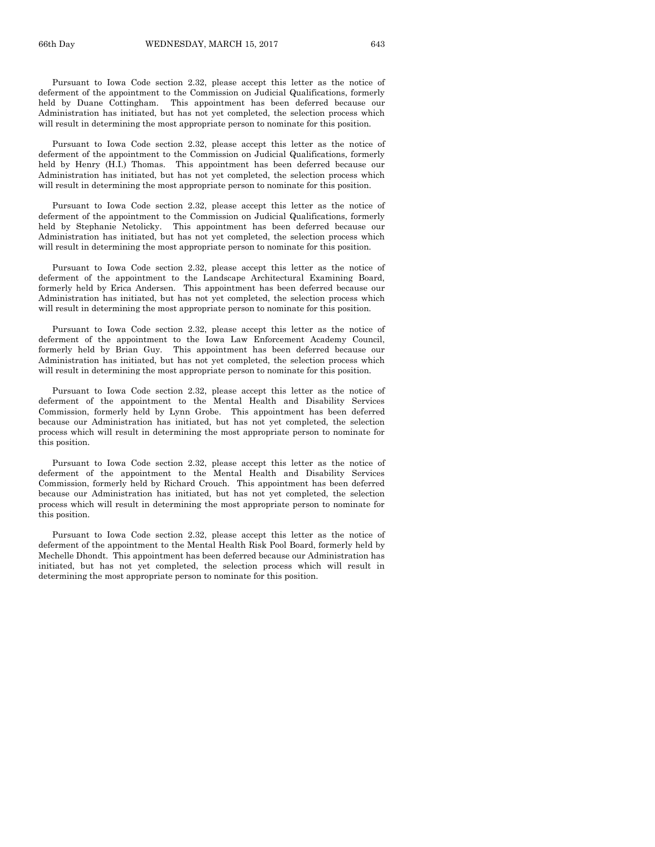Pursuant to Iowa Code section 2.32, please accept this letter as the notice of deferment of the appointment to the Commission on Judicial Qualifications, formerly held by Duane Cottingham. This appointment has been deferred because our Administration has initiated, but has not yet completed, the selection process which will result in determining the most appropriate person to nominate for this position.

Pursuant to Iowa Code section 2.32, please accept this letter as the notice of deferment of the appointment to the Commission on Judicial Qualifications, formerly held by Henry (H.I.) Thomas. This appointment has been deferred because our Administration has initiated, but has not yet completed, the selection process which will result in determining the most appropriate person to nominate for this position.

Pursuant to Iowa Code section 2.32, please accept this letter as the notice of deferment of the appointment to the Commission on Judicial Qualifications, formerly held by Stephanie Netolicky. This appointment has been deferred because our Administration has initiated, but has not yet completed, the selection process which will result in determining the most appropriate person to nominate for this position.

Pursuant to Iowa Code section 2.32, please accept this letter as the notice of deferment of the appointment to the Landscape Architectural Examining Board, formerly held by Erica Andersen. This appointment has been deferred because our Administration has initiated, but has not yet completed, the selection process which will result in determining the most appropriate person to nominate for this position.

Pursuant to Iowa Code section 2.32, please accept this letter as the notice of deferment of the appointment to the Iowa Law Enforcement Academy Council, formerly held by Brian Guy. This appointment has been deferred because our Administration has initiated, but has not yet completed, the selection process which will result in determining the most appropriate person to nominate for this position.

Pursuant to Iowa Code section 2.32, please accept this letter as the notice of deferment of the appointment to the Mental Health and Disability Services Commission, formerly held by Lynn Grobe. This appointment has been deferred because our Administration has initiated, but has not yet completed, the selection process which will result in determining the most appropriate person to nominate for this position.

Pursuant to Iowa Code section 2.32, please accept this letter as the notice of deferment of the appointment to the Mental Health and Disability Services Commission, formerly held by Richard Crouch. This appointment has been deferred because our Administration has initiated, but has not yet completed, the selection process which will result in determining the most appropriate person to nominate for this position.

Pursuant to Iowa Code section 2.32, please accept this letter as the notice of deferment of the appointment to the Mental Health Risk Pool Board, formerly held by Mechelle Dhondt. This appointment has been deferred because our Administration has initiated, but has not yet completed, the selection process which will result in determining the most appropriate person to nominate for this position.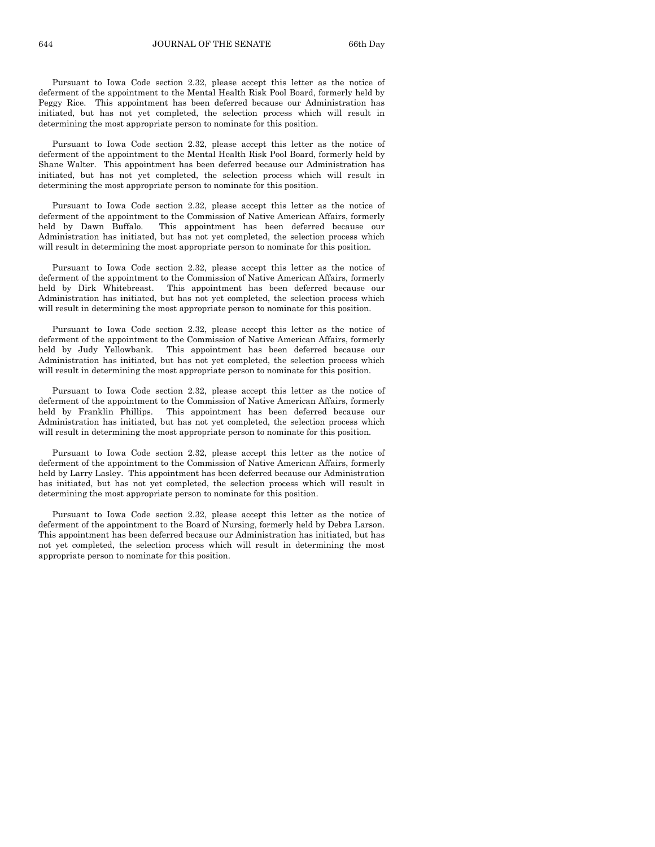Pursuant to Iowa Code section 2.32, please accept this letter as the notice of deferment of the appointment to the Mental Health Risk Pool Board, formerly held by Peggy Rice. This appointment has been deferred because our Administration has initiated, but has not yet completed, the selection process which will result in determining the most appropriate person to nominate for this position.

Pursuant to Iowa Code section 2.32, please accept this letter as the notice of deferment of the appointment to the Mental Health Risk Pool Board, formerly held by Shane Walter. This appointment has been deferred because our Administration has initiated, but has not yet completed, the selection process which will result in determining the most appropriate person to nominate for this position.

Pursuant to Iowa Code section 2.32, please accept this letter as the notice of deferment of the appointment to the Commission of Native American Affairs, formerly held by Dawn Buffalo. This appointment has been deferred because our Administration has initiated, but has not yet completed, the selection process which will result in determining the most appropriate person to nominate for this position.

Pursuant to Iowa Code section 2.32, please accept this letter as the notice of deferment of the appointment to the Commission of Native American Affairs, formerly held by Dirk Whitebreast. This appointment has been deferred because our Administration has initiated, but has not yet completed, the selection process which will result in determining the most appropriate person to nominate for this position.

Pursuant to Iowa Code section 2.32, please accept this letter as the notice of deferment of the appointment to the Commission of Native American Affairs, formerly held by Judy Yellowbank. This appointment has been deferred because our Administration has initiated, but has not yet completed, the selection process which will result in determining the most appropriate person to nominate for this position.

Pursuant to Iowa Code section 2.32, please accept this letter as the notice of deferment of the appointment to the Commission of Native American Affairs, formerly held by Franklin Phillips. This appointment has been deferred because our Administration has initiated, but has not yet completed, the selection process which will result in determining the most appropriate person to nominate for this position.

Pursuant to Iowa Code section 2.32, please accept this letter as the notice of deferment of the appointment to the Commission of Native American Affairs, formerly held by Larry Lasley. This appointment has been deferred because our Administration has initiated, but has not yet completed, the selection process which will result in determining the most appropriate person to nominate for this position.

Pursuant to Iowa Code section 2.32, please accept this letter as the notice of deferment of the appointment to the Board of Nursing, formerly held by Debra Larson. This appointment has been deferred because our Administration has initiated, but has not yet completed, the selection process which will result in determining the most appropriate person to nominate for this position.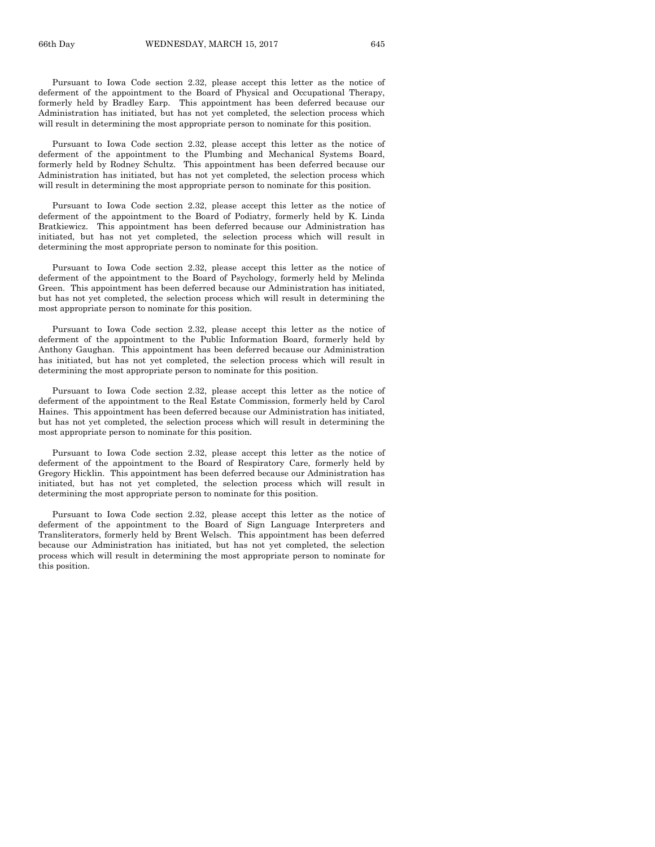Pursuant to Iowa Code section 2.32, please accept this letter as the notice of deferment of the appointment to the Board of Physical and Occupational Therapy, formerly held by Bradley Earp. This appointment has been deferred because our Administration has initiated, but has not yet completed, the selection process which will result in determining the most appropriate person to nominate for this position.

Pursuant to Iowa Code section 2.32, please accept this letter as the notice of deferment of the appointment to the Plumbing and Mechanical Systems Board, formerly held by Rodney Schultz. This appointment has been deferred because our Administration has initiated, but has not yet completed, the selection process which will result in determining the most appropriate person to nominate for this position.

Pursuant to Iowa Code section 2.32, please accept this letter as the notice of deferment of the appointment to the Board of Podiatry, formerly held by K. Linda Bratkiewicz. This appointment has been deferred because our Administration has initiated, but has not yet completed, the selection process which will result in determining the most appropriate person to nominate for this position.

Pursuant to Iowa Code section 2.32, please accept this letter as the notice of deferment of the appointment to the Board of Psychology, formerly held by Melinda Green. This appointment has been deferred because our Administration has initiated, but has not yet completed, the selection process which will result in determining the most appropriate person to nominate for this position.

Pursuant to Iowa Code section 2.32, please accept this letter as the notice of deferment of the appointment to the Public Information Board, formerly held by Anthony Gaughan. This appointment has been deferred because our Administration has initiated, but has not yet completed, the selection process which will result in determining the most appropriate person to nominate for this position.

Pursuant to Iowa Code section 2.32, please accept this letter as the notice of deferment of the appointment to the Real Estate Commission, formerly held by Carol Haines. This appointment has been deferred because our Administration has initiated, but has not yet completed, the selection process which will result in determining the most appropriate person to nominate for this position.

Pursuant to Iowa Code section 2.32, please accept this letter as the notice of deferment of the appointment to the Board of Respiratory Care, formerly held by Gregory Hicklin. This appointment has been deferred because our Administration has initiated, but has not yet completed, the selection process which will result in determining the most appropriate person to nominate for this position.

Pursuant to Iowa Code section 2.32, please accept this letter as the notice of deferment of the appointment to the Board of Sign Language Interpreters and Transliterators, formerly held by Brent Welsch. This appointment has been deferred because our Administration has initiated, but has not yet completed, the selection process which will result in determining the most appropriate person to nominate for this position.